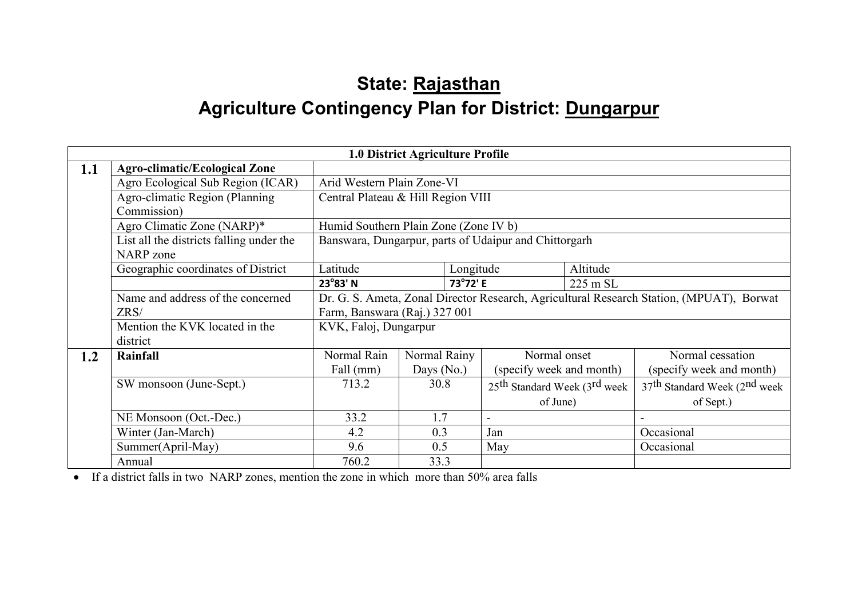# State: Rajasthan Agriculture Contingency Plan for District: <u>Dungarpur</u>

|     |                                          |                                                                                          |              |           |                                                       | <b>1.0 District Agriculture Profile</b> |                                             |  |  |  |  |  |  |  |
|-----|------------------------------------------|------------------------------------------------------------------------------------------|--------------|-----------|-------------------------------------------------------|-----------------------------------------|---------------------------------------------|--|--|--|--|--|--|--|
| 1.1 | <b>Agro-climatic/Ecological Zone</b>     |                                                                                          |              |           |                                                       |                                         |                                             |  |  |  |  |  |  |  |
|     | Agro Ecological Sub Region (ICAR)        | Arid Western Plain Zone-VI                                                               |              |           |                                                       |                                         |                                             |  |  |  |  |  |  |  |
|     | Agro-climatic Region (Planning           | Central Plateau & Hill Region VIII                                                       |              |           |                                                       |                                         |                                             |  |  |  |  |  |  |  |
|     | Commission)                              |                                                                                          |              |           |                                                       |                                         |                                             |  |  |  |  |  |  |  |
|     | Agro Climatic Zone (NARP)*               | Humid Southern Plain Zone (Zone IV b)                                                    |              |           |                                                       |                                         |                                             |  |  |  |  |  |  |  |
|     | List all the districts falling under the |                                                                                          |              |           | Banswara, Dungarpur, parts of Udaipur and Chittorgarh |                                         |                                             |  |  |  |  |  |  |  |
|     | NARP zone                                |                                                                                          |              |           |                                                       |                                         |                                             |  |  |  |  |  |  |  |
|     | Geographic coordinates of District       | Latitude                                                                                 |              | Longitude |                                                       | Altitude                                |                                             |  |  |  |  |  |  |  |
|     |                                          | $23^{\circ}83'$ N                                                                        |              | 73°72' E  |                                                       | 225 m SL                                |                                             |  |  |  |  |  |  |  |
|     | Name and address of the concerned        | Dr. G. S. Ameta, Zonal Director Research, Agricultural Research Station, (MPUAT), Borwat |              |           |                                                       |                                         |                                             |  |  |  |  |  |  |  |
|     | ZRS/                                     | Farm, Banswara (Raj.) 327 001                                                            |              |           |                                                       |                                         |                                             |  |  |  |  |  |  |  |
|     | Mention the KVK located in the           | KVK, Faloj, Dungarpur                                                                    |              |           |                                                       |                                         |                                             |  |  |  |  |  |  |  |
|     | district                                 |                                                                                          |              |           |                                                       |                                         |                                             |  |  |  |  |  |  |  |
| 1.2 | Rainfall                                 | Normal Rain                                                                              | Normal Rainy |           | Normal onset                                          |                                         | Normal cessation                            |  |  |  |  |  |  |  |
|     |                                          | Fall (mm)                                                                                | Days (No.)   |           | (specify week and month)                              |                                         | (specify week and month)                    |  |  |  |  |  |  |  |
|     | SW monsoon (June-Sept.)                  | 713.2                                                                                    | 30.8         |           | 25 <sup>th</sup> Standard Week (3 <sup>rd</sup> week) |                                         | $37th$ Standard Week (2 <sup>nd</sup> week) |  |  |  |  |  |  |  |
|     |                                          |                                                                                          |              |           | of June)                                              |                                         | of Sept.)                                   |  |  |  |  |  |  |  |
|     | NE Monsoon (Oct.-Dec.)                   | 33.2                                                                                     | 1.7          |           |                                                       |                                         |                                             |  |  |  |  |  |  |  |
|     | Winter (Jan-March)                       | 4.2                                                                                      | 0.3          |           | Jan                                                   |                                         | Occasional                                  |  |  |  |  |  |  |  |
|     | Summer(April-May)                        | 9.6                                                                                      | 0.5          |           | May                                                   |                                         | Occasional                                  |  |  |  |  |  |  |  |
|     | Annual                                   | 760.2                                                                                    | 33.3         |           |                                                       |                                         |                                             |  |  |  |  |  |  |  |

• If a district falls in two NARP zones, mention the zone in which more than 50% area falls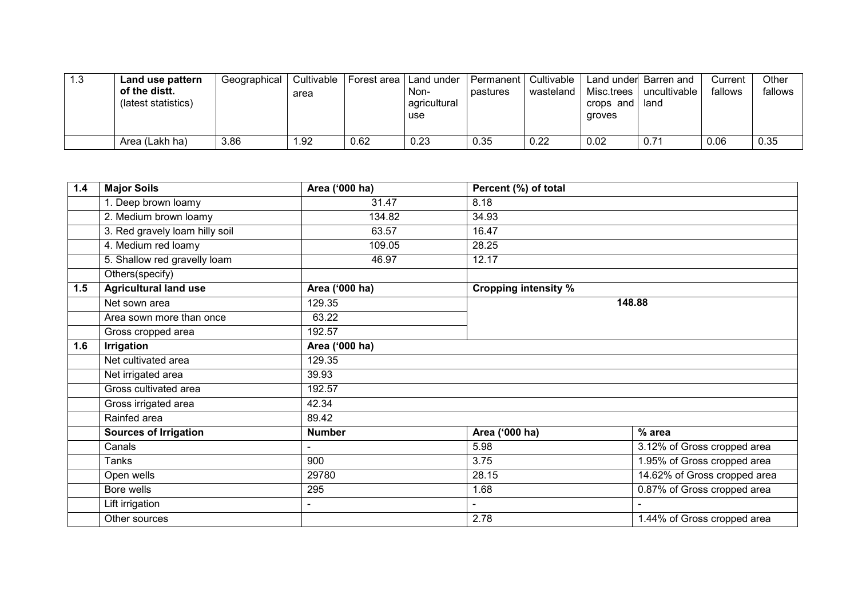| 1.3 | Land use pattern<br>of the distt.<br>(latest statistics) | Geographical | Cultivable<br>area | l Forest area I Land under | Non-<br>agricultural<br>use | I Permanent I<br><b>Dastures</b> | Cultivable<br>wasteland | Misc.trees<br>crops and<br>groves | Land under Barren and<br>uncultivable<br>land | Current<br>fallows | Other<br>fallows |
|-----|----------------------------------------------------------|--------------|--------------------|----------------------------|-----------------------------|----------------------------------|-------------------------|-----------------------------------|-----------------------------------------------|--------------------|------------------|
|     | Area (Lakh ha)                                           | 3.86         | 1.92               | 0.62                       | 0.23                        | 0.35                             | 0.22                    | 0.02                              | 0.71                                          | 0.06               | 0.35             |

| 1.4 | <b>Major Soils</b>             | Area ('000 ha) | Percent (%) of total        |                              |  |  |  |  |
|-----|--------------------------------|----------------|-----------------------------|------------------------------|--|--|--|--|
|     | 1. Deep brown loamy            | 31.47          | 8.18                        |                              |  |  |  |  |
|     | 2. Medium brown loamy          | 134.82         | 34.93                       |                              |  |  |  |  |
|     | 3. Red gravely loam hilly soil | 63.57          | 16.47                       |                              |  |  |  |  |
|     | 4. Medium red loamy            | 109.05         | 28.25                       |                              |  |  |  |  |
|     | 5. Shallow red gravelly loam   | 46.97          | 12.17                       |                              |  |  |  |  |
|     | Others(specify)                |                |                             |                              |  |  |  |  |
| 1.5 | <b>Agricultural land use</b>   | Area ('000 ha) | <b>Cropping intensity %</b> |                              |  |  |  |  |
|     | Net sown area                  | 129.35         |                             | 148.88                       |  |  |  |  |
|     | Area sown more than once       | 63.22          |                             |                              |  |  |  |  |
|     | Gross cropped area             | 192.57         |                             |                              |  |  |  |  |
| 1.6 | <b>Irrigation</b>              | Area ('000 ha) |                             |                              |  |  |  |  |
|     | Net cultivated area            | 129.35         |                             |                              |  |  |  |  |
|     | Net irrigated area             | 39.93          |                             |                              |  |  |  |  |
|     | Gross cultivated area          | 192.57         |                             |                              |  |  |  |  |
|     | Gross irrigated area           | 42.34          |                             |                              |  |  |  |  |
|     | Rainfed area                   | 89.42          |                             |                              |  |  |  |  |
|     | <b>Sources of Irrigation</b>   | <b>Number</b>  | Area ('000 ha)              | $%$ area                     |  |  |  |  |
|     | Canals                         |                | 5.98                        | 3.12% of Gross cropped area  |  |  |  |  |
|     | Tanks                          | 900            | 3.75                        | 1.95% of Gross cropped area  |  |  |  |  |
|     | Open wells                     | 29780          | 28.15                       | 14.62% of Gross cropped area |  |  |  |  |
|     | Bore wells                     | 295            | 1.68                        | 0.87% of Gross cropped area  |  |  |  |  |
|     | Lift irrigation                | $\blacksquare$ | $\blacksquare$              |                              |  |  |  |  |
|     | Other sources                  |                | 2.78                        | 1.44% of Gross cropped area  |  |  |  |  |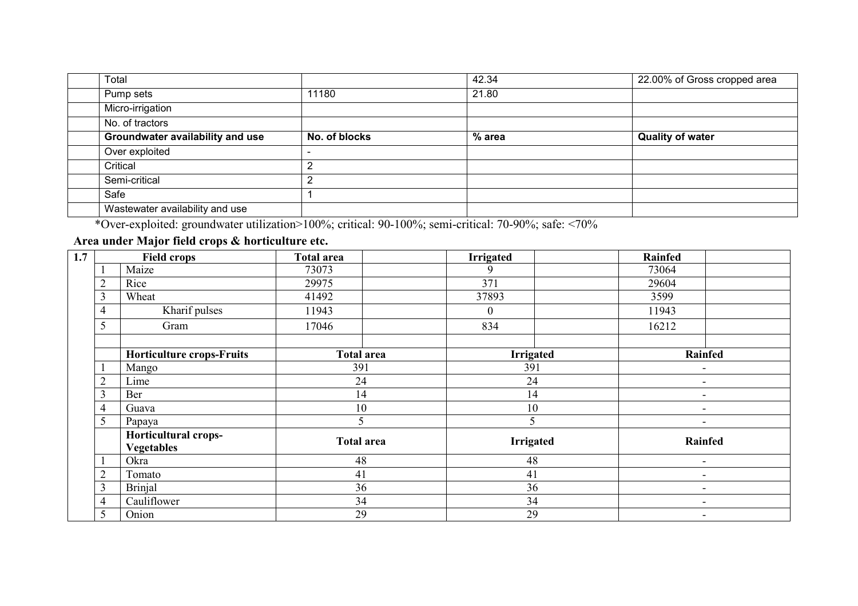| Total                            |               | 42.34    | 22.00% of Gross cropped area |
|----------------------------------|---------------|----------|------------------------------|
| Pump sets                        | 11180         | 21.80    |                              |
| Micro-irrigation                 |               |          |                              |
| No. of tractors                  |               |          |                              |
| Groundwater availability and use | No. of blocks | $%$ area | <b>Quality of water</b>      |
| Over exploited                   |               |          |                              |
| Critical                         |               |          |                              |
| Semi-critical                    | າ             |          |                              |
| Safe                             |               |          |                              |
| Wastewater availability and use  |               |          |                              |

\*Over-exploited: groundwater utilization>100%; critical: 90-100%; semi-critical: 70-90%; safe: <70%

#### Area under Major field crops & horticulture etc.

| 1.7 |                                  | <b>Field crops</b>                        | <b>Total area</b> | <b>Irrigated</b> | <b>Rainfed</b>           |
|-----|----------------------------------|-------------------------------------------|-------------------|------------------|--------------------------|
|     |                                  | Maize                                     | 73073             | 9                | 73064                    |
|     |                                  | Rice                                      | 29975             | 371              | 29604                    |
|     |                                  | Wheat                                     | 41492             | 37893            | 3599                     |
|     | 4                                | Kharif pulses                             | 11943             | $\theta$         | 11943                    |
|     | 5                                | Gram                                      | 17046             | 834              | 16212                    |
|     |                                  |                                           |                   |                  |                          |
|     | <b>Horticulture crops-Fruits</b> |                                           | <b>Total area</b> | <b>Irrigated</b> | <b>Rainfed</b>           |
|     |                                  | 391<br>Mango                              |                   | 391              |                          |
|     | 2                                | Lime                                      | 24                | 24               | $\overline{\phantom{0}}$ |
|     | 3                                | Ber                                       | 14                | 14               | $\overline{\phantom{a}}$ |
|     | 4                                | Guava                                     | 10                | 10               | $\overline{\phantom{a}}$ |
|     | 5                                | Papaya                                    | 5                 | 5                | $\overline{\phantom{a}}$ |
|     |                                  | Horticultural crops-<br><b>Vegetables</b> | <b>Total area</b> | <b>Irrigated</b> | Rainfed                  |
|     |                                  | Okra                                      | 48                | 48               | $\overline{\phantom{a}}$ |
|     |                                  | Tomato                                    | 41                | 41               | $\overline{\phantom{0}}$ |
|     | 3                                | Brinjal                                   | 36                | 36               | $\overline{\phantom{0}}$ |
|     | 4                                | Cauliflower                               | 34                | 34               | $\overline{\phantom{0}}$ |
|     |                                  | Onion                                     | 29                | 29               |                          |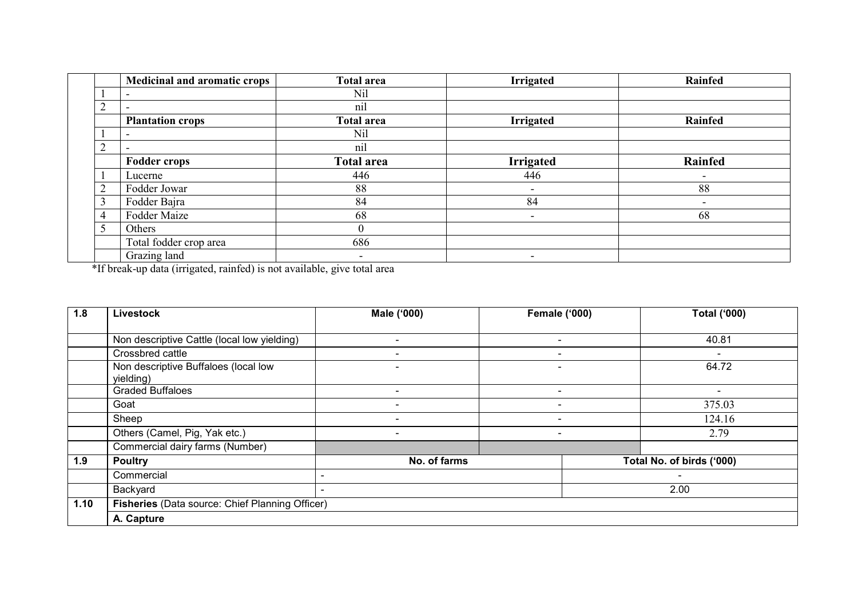|           | Medicinal and aromatic crops | <b>Total area</b>        | <b>Irrigated</b> | Rainfed                  |
|-----------|------------------------------|--------------------------|------------------|--------------------------|
|           | $\overline{\phantom{0}}$     | Nil                      |                  |                          |
|           |                              | nil                      |                  |                          |
|           | <b>Plantation crops</b>      | <b>Total area</b>        | <b>Irrigated</b> | Rainfed                  |
|           |                              | Nil                      |                  |                          |
|           |                              | nil                      |                  |                          |
|           | <b>Fodder crops</b>          | <b>Total area</b>        | <b>Irrigated</b> | <b>Rainfed</b>           |
|           | Lucerne                      | 446                      | 446              | $\overline{\phantom{0}}$ |
| $\bigcap$ | Fodder Jowar                 | 88                       |                  | 88                       |
|           | Fodder Bajra                 | 84                       | 84               | $\overline{\phantom{0}}$ |
| 4         | Fodder Maize                 | 68                       | Ξ.               | 68                       |
|           | Others                       |                          |                  |                          |
|           | Total fodder crop area       | 686                      |                  |                          |
|           | Grazing land                 | $\overline{\phantom{a}}$ |                  |                          |

\*If break-up data (irrigated, rainfed) is not available, give total area

| 1.8  | Livestock                                         | Male ('000)              | <b>Female ('000)</b>     | <b>Total ('000)</b>       |  |  |  |  |  |  |  |
|------|---------------------------------------------------|--------------------------|--------------------------|---------------------------|--|--|--|--|--|--|--|
|      |                                                   |                          |                          |                           |  |  |  |  |  |  |  |
|      | Non descriptive Cattle (local low yielding)       |                          | $\overline{\phantom{a}}$ | 40.81                     |  |  |  |  |  |  |  |
|      | Crossbred cattle                                  | $\overline{\phantom{a}}$ | $\overline{\phantom{a}}$ | $\overline{\phantom{a}}$  |  |  |  |  |  |  |  |
|      | Non descriptive Buffaloes (local low<br>yielding) |                          | $\overline{\phantom{a}}$ | 64.72                     |  |  |  |  |  |  |  |
|      | <b>Graded Buffaloes</b>                           |                          | $\qquad \qquad$          | $\overline{\phantom{a}}$  |  |  |  |  |  |  |  |
|      | Goat                                              |                          | -                        | 375.03                    |  |  |  |  |  |  |  |
|      | Sheep                                             |                          | $\overline{\phantom{a}}$ | 124.16                    |  |  |  |  |  |  |  |
|      | Others (Camel, Pig, Yak etc.)                     |                          |                          | 2.79                      |  |  |  |  |  |  |  |
|      | Commercial dairy farms (Number)                   |                          |                          |                           |  |  |  |  |  |  |  |
| 1.9  | <b>Poultry</b>                                    | No. of farms             |                          | Total No. of birds ('000) |  |  |  |  |  |  |  |
|      | Commercial                                        |                          |                          |                           |  |  |  |  |  |  |  |
|      | Backyard                                          | ۰                        |                          | 2.00                      |  |  |  |  |  |  |  |
| 1.10 | Fisheries (Data source: Chief Planning Officer)   |                          |                          |                           |  |  |  |  |  |  |  |
|      | A. Capture                                        |                          |                          |                           |  |  |  |  |  |  |  |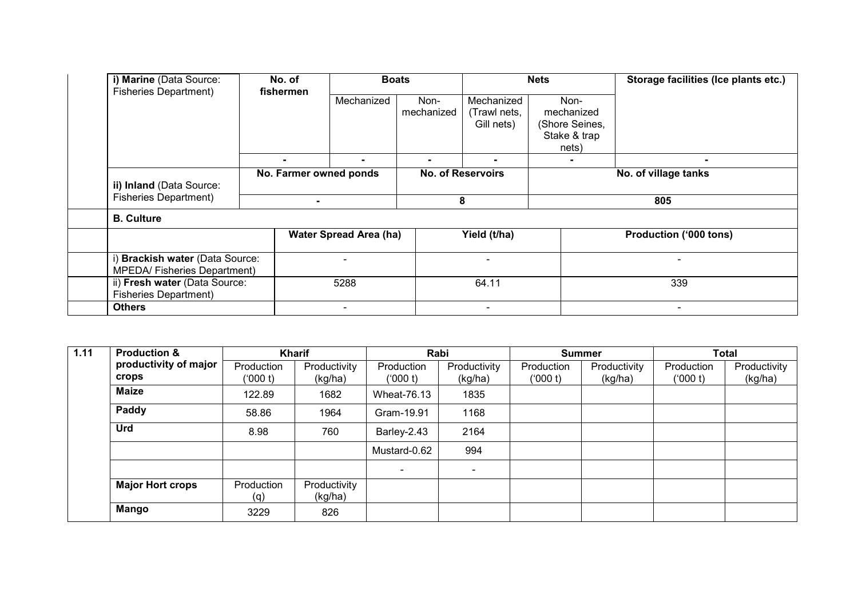| i) Marine (Data Source:<br><b>Fisheries Department)</b>               | No. of<br>fishermen | <b>Boats</b>                  |                    | <b>Nets</b>                              |                                                               | Storage facilities (Ice plants etc.) |  |
|-----------------------------------------------------------------------|---------------------|-------------------------------|--------------------|------------------------------------------|---------------------------------------------------------------|--------------------------------------|--|
|                                                                       |                     | Mechanized                    | Non-<br>mechanized | Mechanized<br>(Trawl nets,<br>Gill nets) | Non-<br>mechanized<br>(Shore Seines,<br>Stake & trap<br>nets) |                                      |  |
|                                                                       |                     |                               |                    |                                          |                                                               | $\blacksquare$                       |  |
| ii) Inland (Data Source:<br><b>Fisheries Department)</b>              |                     | No. Farmer owned ponds        |                    | <b>No. of Reservoirs</b>                 |                                                               | No. of village tanks                 |  |
|                                                                       | $\blacksquare$      |                               |                    | 8                                        |                                                               | 805                                  |  |
| <b>B.</b> Culture                                                     |                     |                               |                    |                                          |                                                               |                                      |  |
|                                                                       |                     | <b>Water Spread Area (ha)</b> |                    | Yield (t/ha)                             |                                                               | <b>Production ('000 tons)</b>        |  |
| i) Brackish water (Data Source:<br><b>MPEDA/Fisheries Department)</b> |                     | $\overline{\phantom{0}}$      |                    | $\overline{\phantom{0}}$                 |                                                               | $\overline{\phantom{a}}$             |  |
| ii) Fresh water (Data Source:<br><b>Fisheries Department)</b>         |                     | 5288                          |                    | 64.11                                    |                                                               | 339                                  |  |
| <b>Others</b>                                                         |                     | $\overline{\phantom{a}}$      |                    |                                          |                                                               | $\overline{\phantom{a}}$             |  |

| 1.11 | <b>Production &amp;</b>               | <b>Kharif</b>          |                         |                          | Rabi                     |                        | <b>Summer</b>           |                       | <b>Total</b>            |  |
|------|---------------------------------------|------------------------|-------------------------|--------------------------|--------------------------|------------------------|-------------------------|-----------------------|-------------------------|--|
|      | productivity of major<br><b>crops</b> | Production<br>('000 t) | Productivity<br>(kg/ha) | Production<br>(000 t)    | Productivity<br>(kg/ha)  | Production<br>('000 t) | Productivity<br>(kg/ha) | Production<br>(000 t) | Productivity<br>(kg/ha) |  |
|      | <b>Maize</b>                          | 122.89                 | 1682                    | Wheat-76.13              | 1835                     |                        |                         |                       |                         |  |
|      | Paddy                                 | 58.86                  | 1964                    | Gram-19.91               | 1168                     |                        |                         |                       |                         |  |
|      | Urd                                   | 8.98                   | 760                     | Barley-2.43              | 2164                     |                        |                         |                       |                         |  |
|      |                                       |                        |                         | Mustard-0.62             | 994                      |                        |                         |                       |                         |  |
|      |                                       |                        |                         | $\overline{\phantom{a}}$ | $\overline{\phantom{0}}$ |                        |                         |                       |                         |  |
|      | <b>Major Hort crops</b>               | Production<br>(q)      | Productivity<br>(kg/ha) |                          |                          |                        |                         |                       |                         |  |
|      | Mango                                 | 3229                   | 826                     |                          |                          |                        |                         |                       |                         |  |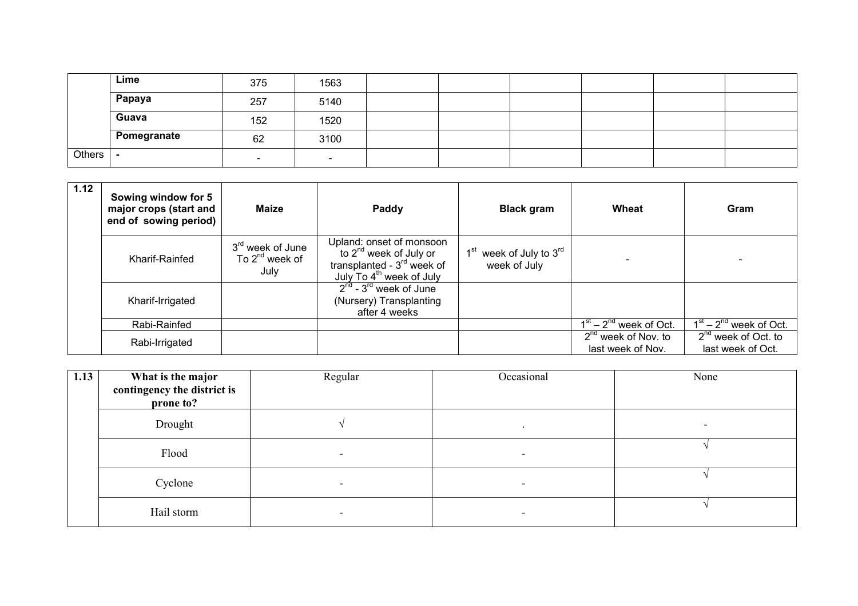|        | Lime        | 375 | 1563                     |  |  |  |
|--------|-------------|-----|--------------------------|--|--|--|
|        | Papaya      | 257 | 5140                     |  |  |  |
|        | Guava       | 152 | 1520                     |  |  |  |
|        | Pomegranate | 62  | 3100                     |  |  |  |
| Others |             |     | $\overline{\phantom{a}}$ |  |  |  |

| 1.12 | Sowing window for 5<br>major crops (start and<br>end of sowing period) | <b>Maize</b>                                                | Paddy                                                                                                                           | <b>Black gram</b>                                               | Wheat                                              | Gram                                          |
|------|------------------------------------------------------------------------|-------------------------------------------------------------|---------------------------------------------------------------------------------------------------------------------------------|-----------------------------------------------------------------|----------------------------------------------------|-----------------------------------------------|
|      | Kharif-Rainfed                                                         | 3 <sup>rd</sup> week of June<br>To $2^{nd}$ week of<br>July | Upland: onset of monsoon<br>to $2^{nd}$ week of July or<br>transplanted - $3rd$ week of<br>July To 4 <sup>th</sup> week of July | week of July to 3 <sup>rd</sup><br>$1^{\rm st}$<br>week of July |                                                    |                                               |
|      | Kharif-Irrigated                                                       |                                                             | $2nd - 3rd$ week of June<br>(Nursery) Transplanting<br>after 4 weeks                                                            |                                                                 |                                                    |                                               |
|      | Rabi-Rainfed                                                           |                                                             |                                                                                                                                 |                                                                 | $\overline{1^{st}}$ – 2 <sup>nd</sup> week of Oct. | $\overline{1^{st} - 2}^{nd}$ week of Oct.     |
|      | Rabi-Irrigated                                                         |                                                             |                                                                                                                                 |                                                                 | $2^{nd}$ week of Nov. to<br>last week of Nov.      | $2^{nd}$ week of Oct. to<br>last week of Oct. |

| 1.13 | What is the major<br>contingency the district is<br>prone to? | Regular | Occasional | None |
|------|---------------------------------------------------------------|---------|------------|------|
|      | Drought                                                       |         | $\bullet$  | -    |
|      | Flood                                                         |         |            |      |
|      | Cyclone                                                       |         |            |      |
|      | Hail storm                                                    |         |            |      |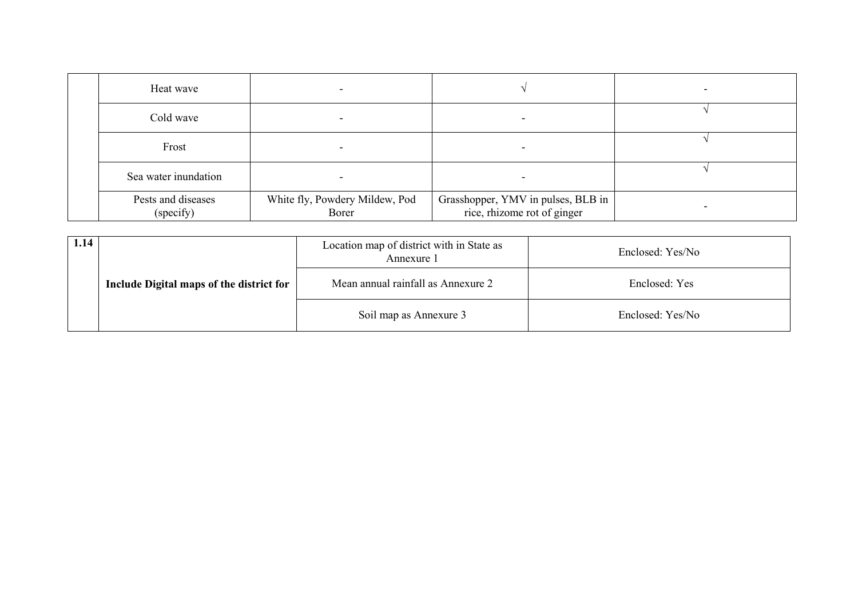| Heat wave                       |                                         |                                                                   | $\overline{\phantom{0}}$ |
|---------------------------------|-----------------------------------------|-------------------------------------------------------------------|--------------------------|
| Cold wave                       |                                         |                                                                   |                          |
| Frost                           |                                         | -                                                                 |                          |
| Sea water inundation            |                                         |                                                                   |                          |
| Pests and diseases<br>(specify) | White fly, Powdery Mildew, Pod<br>Borer | Grasshopper, YMV in pulses, BLB in<br>rice, rhizome rot of ginger |                          |

| 1.14 |                                          | Location map of district with in State as<br>Annexure 1 | Enclosed: Yes/No |
|------|------------------------------------------|---------------------------------------------------------|------------------|
|      | Include Digital maps of the district for | Mean annual rainfall as Annexure 2                      | Enclosed: Yes    |
|      |                                          | Soil map as Annexure 3                                  | Enclosed: Yes/No |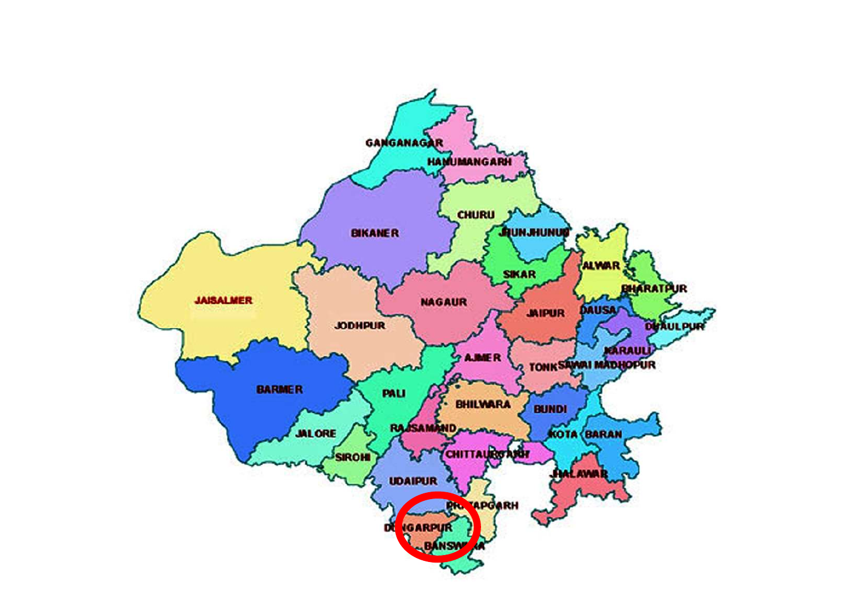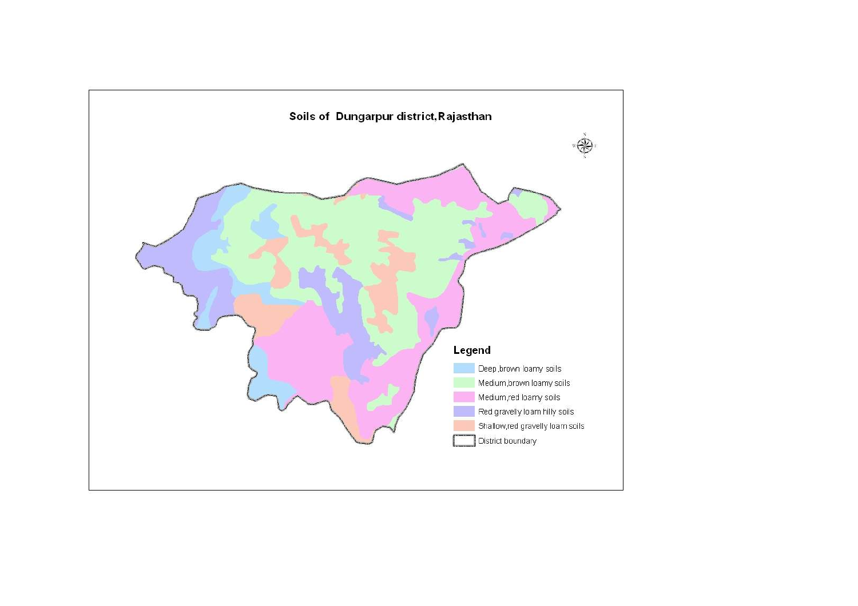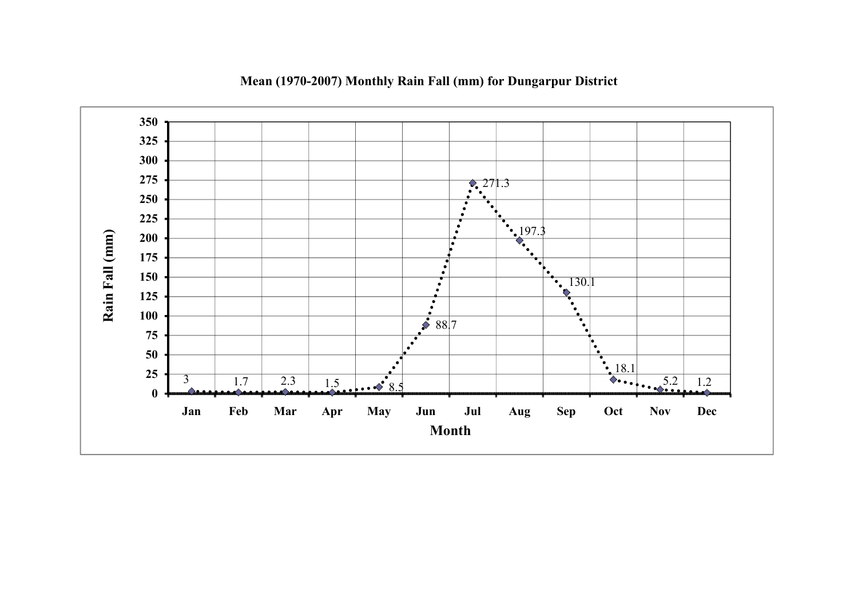

Mean (1970-2007) Monthly Rain Fall (mm) for Dungarpur District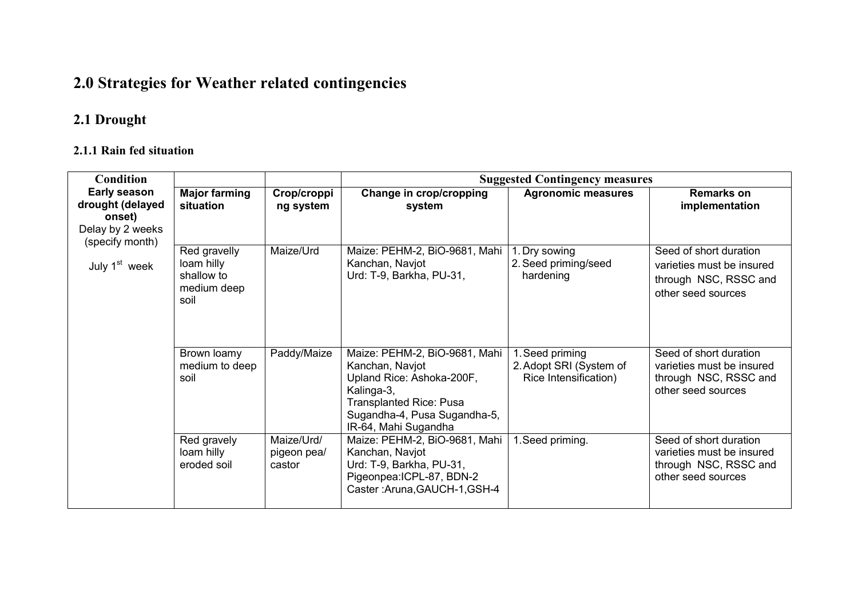# 2.0 Strategies for Weather related contingencies

## 2.1 Drought

#### 2.1.1 Rain fed situation

| Condition                                                                                |                                                                 | <b>Suggested Contingency measures</b> |                                                                                                                                                                                       |                                                                     |                                                                                                    |  |
|------------------------------------------------------------------------------------------|-----------------------------------------------------------------|---------------------------------------|---------------------------------------------------------------------------------------------------------------------------------------------------------------------------------------|---------------------------------------------------------------------|----------------------------------------------------------------------------------------------------|--|
| <b>Early season</b><br>drought (delayed<br>onset)<br>Delay by 2 weeks<br>(specify month) | <b>Major farming</b><br>situation                               | Crop/croppi<br>ng system              | Change in crop/cropping<br>system                                                                                                                                                     | <b>Agronomic measures</b>                                           | <b>Remarks on</b><br>implementation                                                                |  |
| July 1 <sup>st</sup> week                                                                | Red gravelly<br>loam hilly<br>shallow to<br>medium deep<br>soil | Maize/Urd                             | Maize: PEHM-2, BiO-9681, Mahi<br>Kanchan, Navjot<br>Urd: T-9, Barkha, PU-31,                                                                                                          | 1. Dry sowing<br>2. Seed priming/seed<br>hardening                  | Seed of short duration<br>varieties must be insured<br>through NSC, RSSC and<br>other seed sources |  |
|                                                                                          | Brown loamy<br>medium to deep<br>soil                           | Paddy/Maize                           | Maize: PEHM-2, BiO-9681, Mahi<br>Kanchan, Navjot<br>Upland Rice: Ashoka-200F,<br>Kalinga-3,<br><b>Transplanted Rice: Pusa</b><br>Sugandha-4, Pusa Sugandha-5,<br>IR-64, Mahi Sugandha | 1. Seed priming<br>2. Adopt SRI (System of<br>Rice Intensification) | Seed of short duration<br>varieties must be insured<br>through NSC, RSSC and<br>other seed sources |  |
|                                                                                          | Red gravely<br>loam hilly<br>eroded soil                        | Maize/Urd/<br>pigeon pea/<br>castor   | Maize: PEHM-2, BiO-9681, Mahi<br>Kanchan, Navjot<br>Urd: T-9, Barkha, PU-31,<br>Pigeonpea: ICPL-87, BDN-2<br>Caster: Aruna, GAUCH-1, GSH-4                                            | 1. Seed priming.                                                    | Seed of short duration<br>varieties must be insured<br>through NSC, RSSC and<br>other seed sources |  |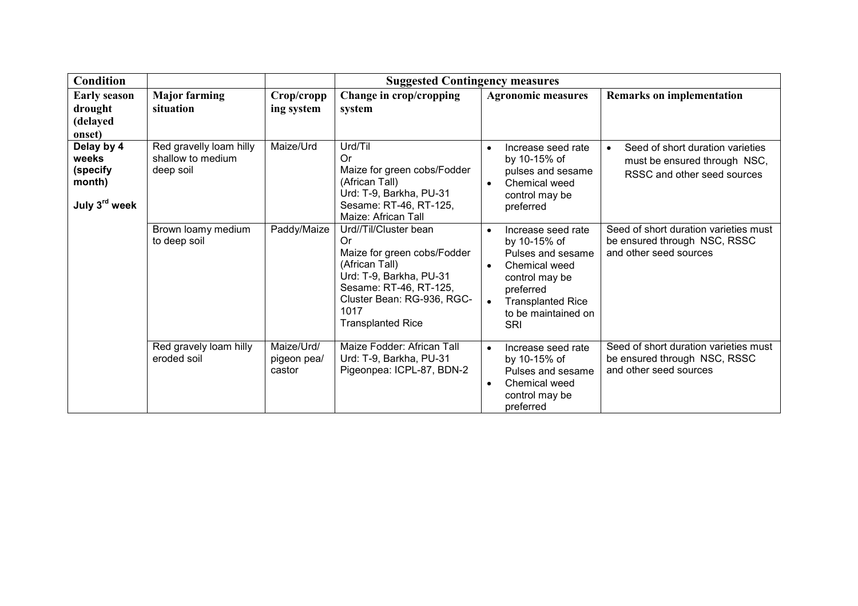| <b>Condition</b>                                                       |                                                           |                                     | <b>Suggested Contingency measures</b>                                                                                                                                                               |                                                                                                                                                                                                                 |                                                                                                 |
|------------------------------------------------------------------------|-----------------------------------------------------------|-------------------------------------|-----------------------------------------------------------------------------------------------------------------------------------------------------------------------------------------------------|-----------------------------------------------------------------------------------------------------------------------------------------------------------------------------------------------------------------|-------------------------------------------------------------------------------------------------|
| <b>Early season</b><br>drought<br>(delayed<br>onset)                   | <b>Major farming</b><br>situation                         | Crop/cropp<br>ing system            | Change in crop/cropping<br>system                                                                                                                                                                   | <b>Agronomic measures</b>                                                                                                                                                                                       | <b>Remarks on implementation</b>                                                                |
| Delay by 4<br>weeks<br>(specify<br>month)<br>July 3 <sup>rd</sup> week | Red gravelly loam hilly<br>shallow to medium<br>deep soil | Maize/Urd                           | Urd/Til<br>Or.<br>Maize for green cobs/Fodder<br>(African Tall)<br>Urd: T-9, Barkha, PU-31<br>Sesame: RT-46, RT-125,<br>Maize: African Tall                                                         | Increase seed rate<br>$\bullet$<br>by 10-15% of<br>pulses and sesame<br>Chemical weed<br>$\bullet$<br>control may be<br>preferred                                                                               | Seed of short duration varieties<br>must be ensured through NSC,<br>RSSC and other seed sources |
|                                                                        | Brown loamy medium<br>to deep soil                        | Paddy/Maize                         | Urd//Til/Cluster bean<br>Or<br>Maize for green cobs/Fodder<br>(African Tall)<br>Urd: T-9, Barkha, PU-31<br>Sesame: RT-46, RT-125,<br>Cluster Bean: RG-936, RGC-<br>1017<br><b>Transplanted Rice</b> | Increase seed rate<br>$\bullet$<br>by 10-15% of<br>Pulses and sesame<br>Chemical weed<br>$\bullet$<br>control may be<br>preferred<br><b>Transplanted Rice</b><br>$\bullet$<br>to be maintained on<br><b>SRI</b> | Seed of short duration varieties must<br>be ensured through NSC, RSSC<br>and other seed sources |
|                                                                        | Red gravely loam hilly<br>eroded soil                     | Maize/Urd/<br>pigeon pea/<br>castor | Maize Fodder: African Tall<br>Urd: T-9, Barkha, PU-31<br>Pigeonpea: ICPL-87, BDN-2                                                                                                                  | $\bullet$<br>Increase seed rate<br>by 10-15% of<br>Pulses and sesame<br>Chemical weed<br>$\bullet$<br>control may be<br>preferred                                                                               | Seed of short duration varieties must<br>be ensured through NSC, RSSC<br>and other seed sources |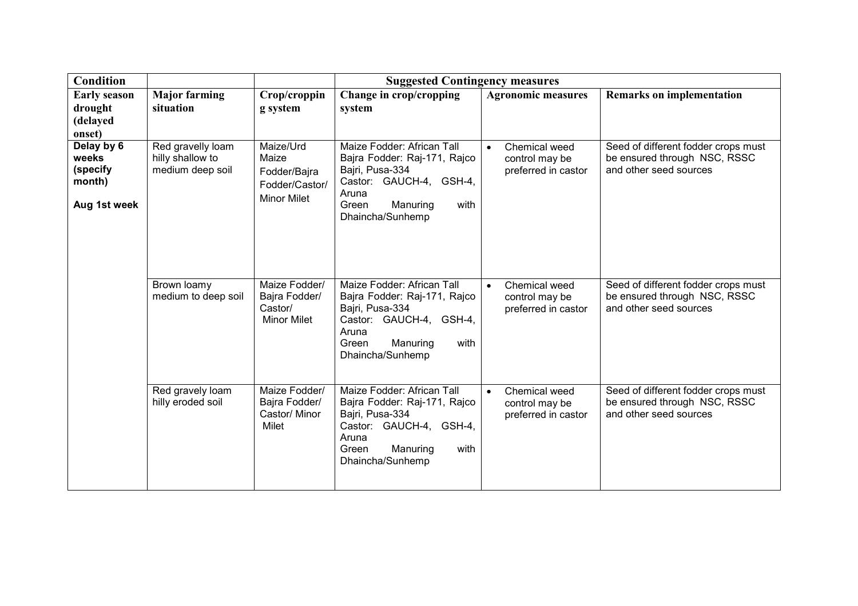| <b>Condition</b>                                          |                                                           | <b>Suggested Contingency measures</b>                                      |                                                                                                                                                                    |                                                                     |                                                                                               |  |
|-----------------------------------------------------------|-----------------------------------------------------------|----------------------------------------------------------------------------|--------------------------------------------------------------------------------------------------------------------------------------------------------------------|---------------------------------------------------------------------|-----------------------------------------------------------------------------------------------|--|
| <b>Early season</b><br>drought<br>(delayed<br>onset)      | <b>Major farming</b><br>situation                         | Crop/croppin<br>g system                                                   | Change in crop/cropping<br>system                                                                                                                                  | <b>Agronomic measures</b>                                           | <b>Remarks on implementation</b>                                                              |  |
| Delay by 6<br>weeks<br>(specify<br>month)<br>Aug 1st week | Red gravelly loam<br>hilly shallow to<br>medium deep soil | Maize/Urd<br>Maize<br>Fodder/Bajra<br>Fodder/Castor/<br><b>Minor Milet</b> | Maize Fodder: African Tall<br>Bajra Fodder: Raj-171, Rajco<br>Bajri, Pusa-334<br>Castor: GAUCH-4, GSH-4,<br>Aruna<br>Manuring<br>with<br>Green<br>Dhaincha/Sunhemp | Chemical weed<br>$\bullet$<br>control may be<br>preferred in castor | Seed of different fodder crops must<br>be ensured through NSC, RSSC<br>and other seed sources |  |
|                                                           | Brown loamy<br>medium to deep soil                        | Maize Fodder/<br>Bajra Fodder/<br>Castor/<br><b>Minor Milet</b>            | Maize Fodder: African Tall<br>Bajra Fodder: Raj-171, Rajco<br>Bajri, Pusa-334<br>Castor: GAUCH-4, GSH-4,<br>Aruna<br>Green<br>Manuring<br>with<br>Dhaincha/Sunhemp | Chemical weed<br>$\bullet$<br>control may be<br>preferred in castor | Seed of different fodder crops must<br>be ensured through NSC, RSSC<br>and other seed sources |  |
|                                                           | Red gravely loam<br>hilly eroded soil                     | Maize Fodder/<br>Bajra Fodder/<br>Castor/ Minor<br>Milet                   | Maize Fodder: African Tall<br>Bajra Fodder: Raj-171, Rajco<br>Bajri, Pusa-334<br>Castor: GAUCH-4, GSH-4,<br>Aruna<br>Manuring<br>with<br>Green<br>Dhaincha/Sunhemp | Chemical weed<br>$\bullet$<br>control may be<br>preferred in castor | Seed of different fodder crops must<br>be ensured through NSC, RSSC<br>and other seed sources |  |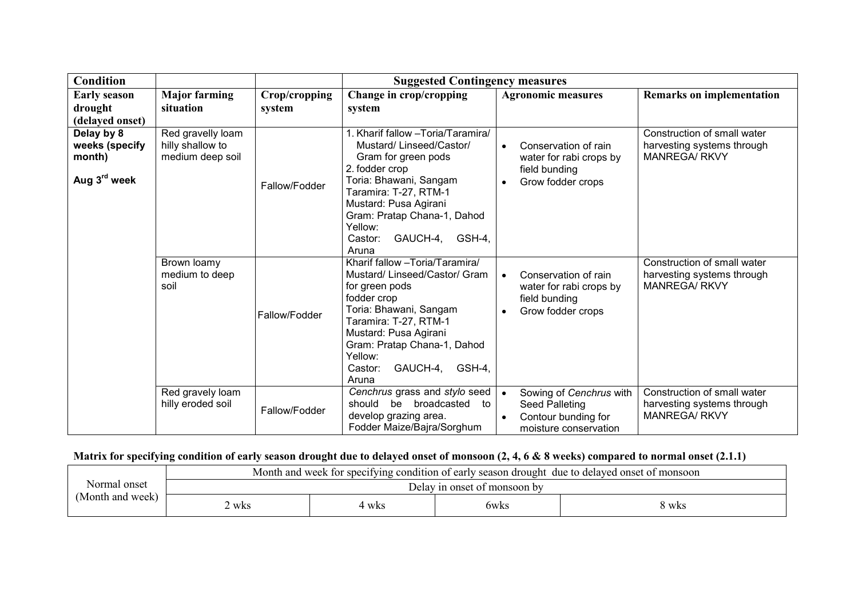| <b>Condition</b>                                                   |                                                           | <b>Suggested Contingency measures</b> |                                                                                                                                                                                                                                                                     |                                                                                                                 |                                                                                   |
|--------------------------------------------------------------------|-----------------------------------------------------------|---------------------------------------|---------------------------------------------------------------------------------------------------------------------------------------------------------------------------------------------------------------------------------------------------------------------|-----------------------------------------------------------------------------------------------------------------|-----------------------------------------------------------------------------------|
| <b>Early season</b><br>drought<br>(delayed onset)                  | <b>Major farming</b><br>situation                         | Crop/cropping<br>system               | Change in crop/cropping<br>system                                                                                                                                                                                                                                   | <b>Agronomic measures</b>                                                                                       | <b>Remarks on implementation</b>                                                  |
| Delay by 8<br>weeks (specify<br>month)<br>Aug 3 <sup>rd</sup> week | Red gravelly loam<br>hilly shallow to<br>medium deep soil | Fallow/Fodder                         | 1. Kharif fallow -Toria/Taramira/<br>Mustard/ Linseed/Castor/<br>Gram for green pods<br>2. fodder crop<br>Toria: Bhawani, Sangam<br>Taramira: T-27, RTM-1<br>Mustard: Pusa Agirani<br>Gram: Pratap Chana-1, Dahod<br>Yellow:<br>GAUCH-4, GSH-4,<br>Castor:<br>Aruna | Conservation of rain<br>$\bullet$<br>water for rabi crops by<br>field bunding<br>Grow fodder crops<br>$\bullet$ | Construction of small water<br>harvesting systems through<br><b>MANREGA/ RKVY</b> |
|                                                                    | Brown loamy<br>medium to deep<br>soil                     | Fallow/Fodder                         | Kharif fallow - Toria/Taramira/<br>Mustard/Linseed/Castor/Gram<br>for green pods<br>fodder crop<br>Toria: Bhawani, Sangam<br>Taramira: T-27, RTM-1<br>Mustard: Pusa Agirani<br>Gram: Pratap Chana-1, Dahod<br>Yellow:<br>GAUCH-4, GSH-4,<br>Castor:<br>Aruna        | Conservation of rain<br>water for rabi crops by<br>field bunding<br>Grow fodder crops<br>$\bullet$              | Construction of small water<br>harvesting systems through<br><b>MANREGA/ RKVY</b> |
|                                                                    | Red gravely loam<br>hilly eroded soil                     | Fallow/Fodder                         | Cenchrus grass and stylo seed<br>broadcasted to<br>should<br>be<br>develop grazing area.<br>Fodder Maize/Bajra/Sorghum                                                                                                                                              | Sowing of Cenchrus with<br>$\bullet$<br>Seed Palleting<br>Contour bunding for<br>moisture conservation          | Construction of small water<br>harvesting systems through<br><b>MANREGA/ RKVY</b> |

#### Matrix for specifying condition of early season drought due to delayed onset of monsoon (2, 4, 6 & 8 weeks) compared to normal onset (2.1.1)

| Normal onset<br>Delay in onset of monsoon by |                  | Month and week for specifying condition of early season drought due to delayed onset of monsoon |  |  |  |  |  |
|----------------------------------------------|------------------|-------------------------------------------------------------------------------------------------|--|--|--|--|--|
|                                              | (Month and week) |                                                                                                 |  |  |  |  |  |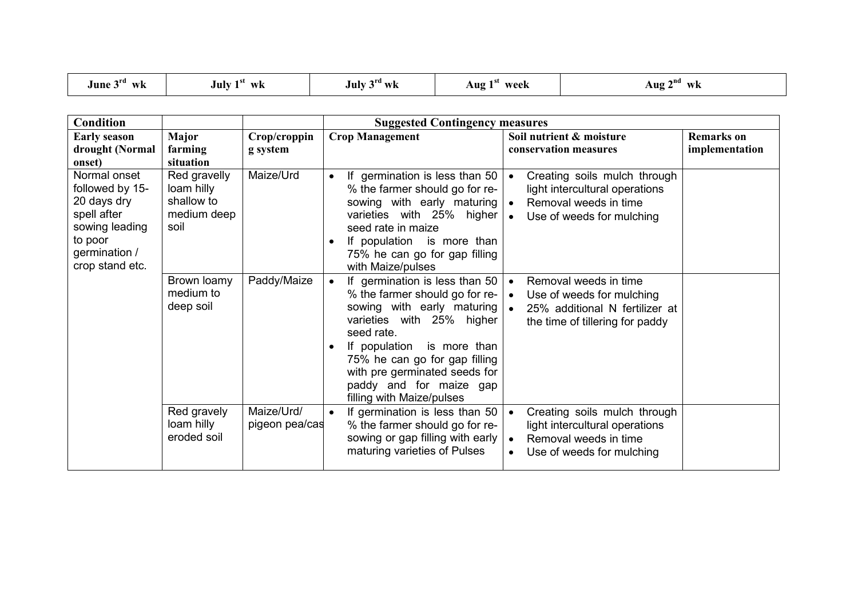| $\rightarrow$ rd<br>- 91<br>June 3<br>July<br>WK<br>WK | $\gamma$ ra<br>July :<br>$W_{\mathbf{K}}$ | week<br>Aug | $\sim$ nd<br>Aug<br>wk |
|--------------------------------------------------------|-------------------------------------------|-------------|------------------------|
|--------------------------------------------------------|-------------------------------------------|-------------|------------------------|

| <b>Condition</b>                                                                                                               |                                                                 |                              | <b>Suggested Contingency measures</b>                                                                                                                                                                                                                                                                                 |                                                                                                                                                             |                                     |  |
|--------------------------------------------------------------------------------------------------------------------------------|-----------------------------------------------------------------|------------------------------|-----------------------------------------------------------------------------------------------------------------------------------------------------------------------------------------------------------------------------------------------------------------------------------------------------------------------|-------------------------------------------------------------------------------------------------------------------------------------------------------------|-------------------------------------|--|
| <b>Early season</b><br>drought (Normal<br>onset)                                                                               | Major<br>farming<br>situation                                   | Crop/croppin<br>g system     | <b>Crop Management</b>                                                                                                                                                                                                                                                                                                | Soil nutrient & moisture<br>conservation measures                                                                                                           | <b>Remarks</b> on<br>implementation |  |
| Normal onset<br>followed by 15-<br>20 days dry<br>spell after<br>sowing leading<br>to poor<br>germination /<br>crop stand etc. | Red gravelly<br>loam hilly<br>shallow to<br>medium deep<br>soil | Maize/Urd                    | If germination is less than 50<br>% the farmer should go for re-<br>sowing with early maturing   •<br>varieties with 25% higher<br>seed rate in maize<br>If population is more than<br>75% he can go for gap filling<br>with Maize/pulses                                                                             | Creating soils mulch through<br>$\bullet$<br>light intercultural operations<br>Removal weeds in time<br>Use of weeds for mulching<br>$\bullet$              |                                     |  |
|                                                                                                                                | Brown loamy<br>medium to<br>deep soil                           | Paddy/Maize                  | If germination is less than 50<br>% the farmer should go for re-<br>sowing with early maturing   .<br>varieties with 25% higher<br>seed rate.<br>If population<br>is more than<br>$\bullet$<br>75% he can go for gap filling<br>with pre germinated seeds for<br>paddy and for maize gap<br>filling with Maize/pulses | Removal weeds in time<br>$\bullet$<br>Use of weeds for mulching<br>$\bullet$<br>25% additional N fertilizer at<br>the time of tillering for paddy           |                                     |  |
|                                                                                                                                | Red gravely<br>loam hilly<br>eroded soil                        | Maize/Urd/<br>pigeon pea/cas | If germination is less than 50<br>% the farmer should go for re-<br>sowing or gap filling with early<br>maturing varieties of Pulses                                                                                                                                                                                  | Creating soils mulch through<br>$\bullet$<br>light intercultural operations<br>Removal weeds in time<br>$\bullet$<br>Use of weeds for mulching<br>$\bullet$ |                                     |  |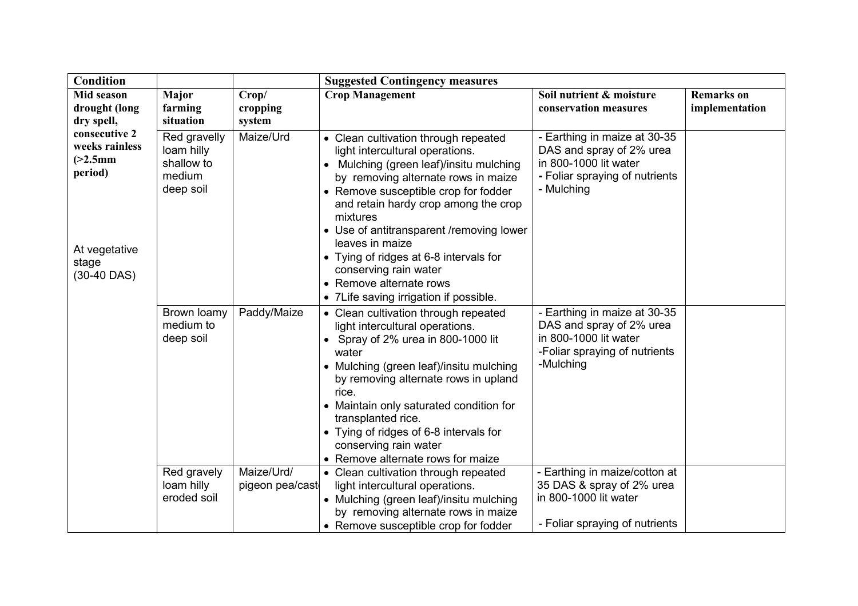| Condition                                                                                           |                                                                                   |                                              | <b>Suggested Contingency measures</b>                                                                                                                                                                                                                                                                                                                                                                                                                                                                                                                                                            |                                                                                                                                                                                                                                                          |                                     |
|-----------------------------------------------------------------------------------------------------|-----------------------------------------------------------------------------------|----------------------------------------------|--------------------------------------------------------------------------------------------------------------------------------------------------------------------------------------------------------------------------------------------------------------------------------------------------------------------------------------------------------------------------------------------------------------------------------------------------------------------------------------------------------------------------------------------------------------------------------------------------|----------------------------------------------------------------------------------------------------------------------------------------------------------------------------------------------------------------------------------------------------------|-------------------------------------|
| Mid season<br>drought (long                                                                         | Major<br>farming                                                                  | Crop/<br>cropping                            | <b>Crop Management</b>                                                                                                                                                                                                                                                                                                                                                                                                                                                                                                                                                                           | Soil nutrient & moisture<br>conservation measures                                                                                                                                                                                                        | <b>Remarks</b> on<br>implementation |
| dry spell,                                                                                          | situation                                                                         | system                                       |                                                                                                                                                                                                                                                                                                                                                                                                                                                                                                                                                                                                  |                                                                                                                                                                                                                                                          |                                     |
| consecutive 2<br>weeks rainless<br>$(>2.5$ mm<br>period)<br>At vegetative<br>stage<br>$(30-40$ DAS) | Red gravelly<br>loam hilly<br>shallow to<br>medium<br>deep soil                   | Maize/Urd                                    | • Clean cultivation through repeated<br>light intercultural operations.<br>Mulching (green leaf)/insitu mulching<br>by removing alternate rows in maize<br>• Remove susceptible crop for fodder<br>and retain hardy crop among the crop<br>mixtures<br>• Use of antitransparent /removing lower<br>leaves in maize<br>• Tying of ridges at 6-8 intervals for<br>conserving rain water<br>• Remove alternate rows<br>• 7Life saving irrigation if possible.                                                                                                                                       | - Earthing in maize at 30-35<br>DAS and spray of 2% urea<br>in 800-1000 lit water<br>- Foliar spraying of nutrients<br>- Mulching                                                                                                                        |                                     |
|                                                                                                     | Brown loamy<br>medium to<br>deep soil<br>Red gravely<br>loam hilly<br>eroded soil | Paddy/Maize<br>Maize/Urd/<br>pigeon pea/cast | • Clean cultivation through repeated<br>light intercultural operations.<br>• Spray of 2% urea in 800-1000 lit<br>water<br>• Mulching (green leaf)/insitu mulching<br>by removing alternate rows in upland<br>rice.<br>• Maintain only saturated condition for<br>transplanted rice.<br>• Tying of ridges of 6-8 intervals for<br>conserving rain water<br>• Remove alternate rows for maize<br>• Clean cultivation through repeated<br>light intercultural operations.<br>• Mulching (green leaf)/insitu mulching<br>by removing alternate rows in maize<br>• Remove susceptible crop for fodder | - Earthing in maize at 30-35<br>DAS and spray of 2% urea<br>in 800-1000 lit water<br>-Foliar spraying of nutrients<br>-Mulching<br>- Earthing in maize/cotton at<br>35 DAS & spray of 2% urea<br>in 800-1000 lit water<br>- Foliar spraying of nutrients |                                     |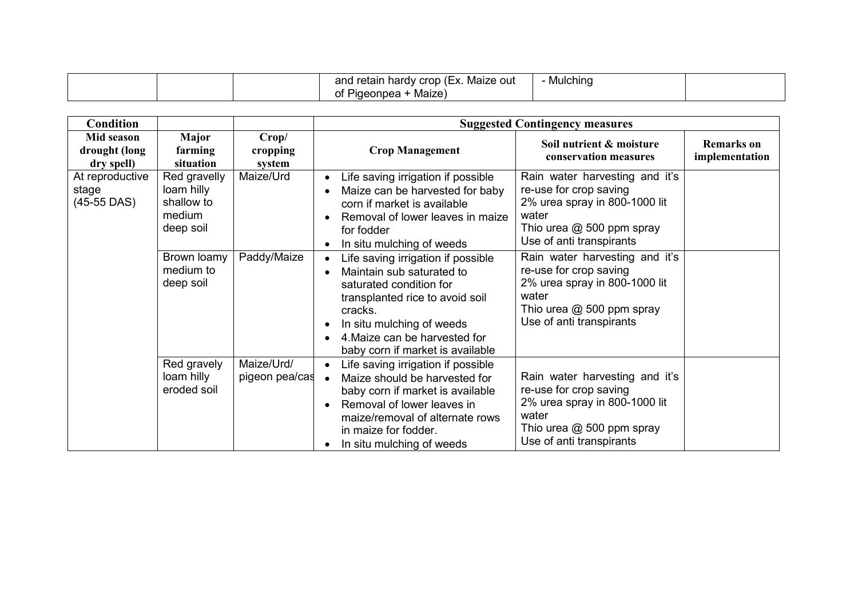| Maize out<br>and<br>↑ hardy crop (Ex. .<br>u retain.<br>Maize <sup>®</sup><br>aeonnea<br>οt | Mulching |  |
|---------------------------------------------------------------------------------------------|----------|--|
|---------------------------------------------------------------------------------------------|----------|--|

| <b>Condition</b>                          |                                                                 |                              | <b>Suggested Contingency measures</b>                                                                                                                                                                                                                                     |                                                                                                                                                             |                                     |
|-------------------------------------------|-----------------------------------------------------------------|------------------------------|---------------------------------------------------------------------------------------------------------------------------------------------------------------------------------------------------------------------------------------------------------------------------|-------------------------------------------------------------------------------------------------------------------------------------------------------------|-------------------------------------|
| Mid season<br>drought (long<br>dry spell) | Major<br>farming<br>situation                                   | Crop/<br>cropping<br>system  | <b>Crop Management</b>                                                                                                                                                                                                                                                    | Soil nutrient & moisture<br>conservation measures                                                                                                           | <b>Remarks</b> on<br>implementation |
| At reproductive<br>stage<br>$(45-55$ DAS) | Red gravelly<br>loam hilly<br>shallow to<br>medium<br>deep soil | Maize/Urd                    | Life saving irrigation if possible<br>$\bullet$<br>Maize can be harvested for baby<br>corn if market is available<br>Removal of lower leaves in maize<br>for fodder<br>In situ mulching of weeds<br>$\bullet$                                                             | Rain water harvesting and it's<br>re-use for crop saving<br>2% urea spray in 800-1000 lit<br>water<br>Thio urea @ 500 ppm spray<br>Use of anti transpirants |                                     |
|                                           | Brown loamy<br>medium to<br>deep soil                           | Paddy/Maize                  | Life saving irrigation if possible<br>$\bullet$<br>Maintain sub saturated to<br>saturated condition for<br>transplanted rice to avoid soil<br>cracks.<br>In situ mulching of weeds<br>٠<br>4. Maize can be harvested for<br>$\bullet$<br>baby corn if market is available | Rain water harvesting and it's<br>re-use for crop saving<br>2% urea spray in 800-1000 lit<br>water<br>Thio urea @ 500 ppm spray<br>Use of anti transpirants |                                     |
|                                           | Red gravely<br>loam hilly<br>eroded soil                        | Maize/Urd/<br>pigeon pea/cas | Life saving irrigation if possible<br>$\bullet$<br>Maize should be harvested for<br>$\bullet$<br>baby corn if market is available<br>Removal of lower leaves in<br>$\bullet$<br>maize/removal of alternate rows<br>in maize for fodder.<br>In situ mulching of weeds      | Rain water harvesting and it's<br>re-use for crop saving<br>2% urea spray in 800-1000 lit<br>water<br>Thio urea @ 500 ppm spray<br>Use of anti transpirants |                                     |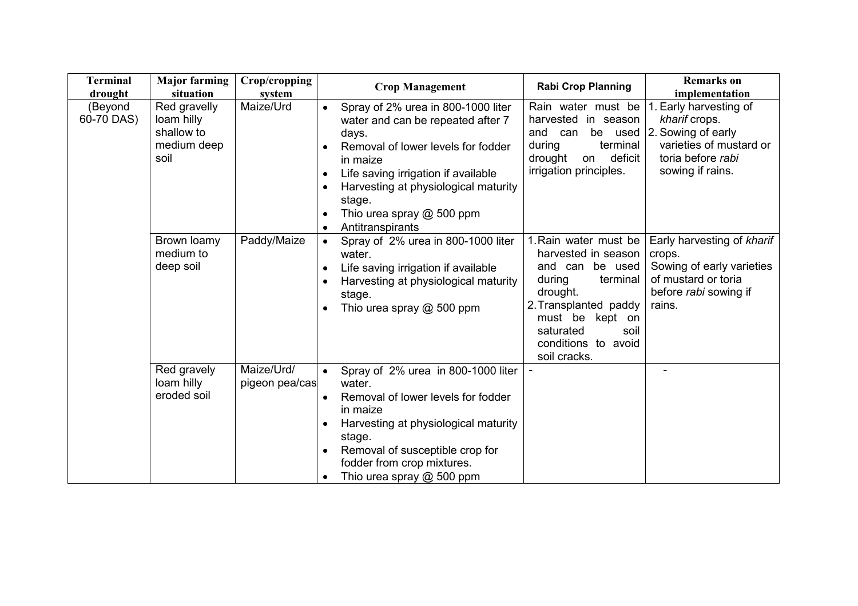| <b>Terminal</b><br>drought | <b>Major farming</b><br>situation                               | Crop/cropping<br>system      | <b>Crop Management</b>                                                                                                                                                                                                                                                                    | <b>Rabi Crop Planning</b>                                                                                                                                                                                 | <b>Remarks</b> on<br>implementation                                                                                              |
|----------------------------|-----------------------------------------------------------------|------------------------------|-------------------------------------------------------------------------------------------------------------------------------------------------------------------------------------------------------------------------------------------------------------------------------------------|-----------------------------------------------------------------------------------------------------------------------------------------------------------------------------------------------------------|----------------------------------------------------------------------------------------------------------------------------------|
| (Beyond<br>60-70 DAS)      | Red gravelly<br>loam hilly<br>shallow to<br>medium deep<br>soil | Maize/Urd                    | Spray of 2% urea in 800-1000 liter<br>$\bullet$<br>water and can be repeated after 7<br>days.<br>Removal of lower levels for fodder<br>in maize<br>Life saving irrigation if available<br>Harvesting at physiological maturity<br>stage.<br>Thio urea spray @ 500 ppm<br>Antitranspirants | Rain water must be<br>harvested in season<br>and can<br>be used<br>terminal<br>during<br>drought<br>deficit<br>on<br>irrigation principles.                                                               | . Early harvesting of<br>kharif crops.<br>2. Sowing of early<br>varieties of mustard or<br>toria before rabi<br>sowing if rains. |
|                            | Brown loamy<br>medium to<br>deep soil                           | Paddy/Maize                  | Spray of 2% urea in 800-1000 liter<br>water.<br>Life saving irrigation if available<br>$\bullet$<br>Harvesting at physiological maturity<br>stage.<br>Thio urea spray @ 500 ppm                                                                                                           | 1. Rain water must be<br>harvested in season<br>and can be used<br>during<br>terminal<br>drought.<br>2. Transplanted paddy<br>must be kept on<br>saturated<br>soil<br>conditions to avoid<br>soil cracks. | Early harvesting of kharif<br>crops.<br>Sowing of early varieties<br>of mustard or toria<br>before rabi sowing if<br>rains.      |
|                            | Red gravely<br>loam hilly<br>eroded soil                        | Maize/Urd/<br>pigeon pea/cas | Spray of 2% urea in 800-1000 liter<br>$\bullet$<br>water.<br>Removal of lower levels for fodder<br>in maize<br>Harvesting at physiological maturity<br>stage.<br>Removal of susceptible crop for<br>fodder from crop mixtures.<br>Thio urea spray @ 500 ppm                               |                                                                                                                                                                                                           |                                                                                                                                  |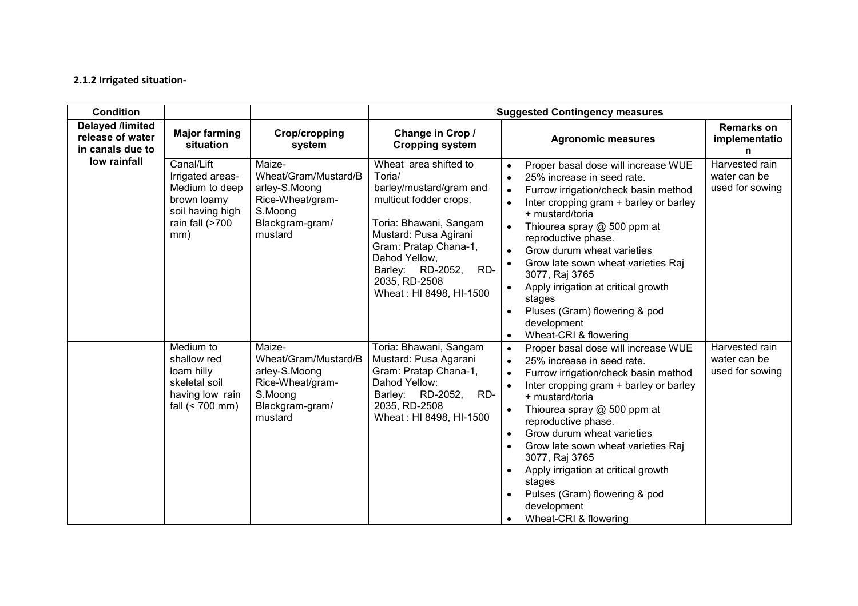#### 2.1.2 Irrigated situation-

| <b>Condition</b>                                                |                                                                                                               |                                                                                                              | <b>Suggested Contingency measures</b>                                                                                                                                                                                                                    |                                                                                                                                                                                                                                                                                                                                                                                                                                                                                                                                                      |                                                   |  |  |
|-----------------------------------------------------------------|---------------------------------------------------------------------------------------------------------------|--------------------------------------------------------------------------------------------------------------|----------------------------------------------------------------------------------------------------------------------------------------------------------------------------------------------------------------------------------------------------------|------------------------------------------------------------------------------------------------------------------------------------------------------------------------------------------------------------------------------------------------------------------------------------------------------------------------------------------------------------------------------------------------------------------------------------------------------------------------------------------------------------------------------------------------------|---------------------------------------------------|--|--|
| <b>Delayed /limited</b><br>release of water<br>in canals due to | <b>Major farming</b><br>situation                                                                             | <b>Crop/cropping</b><br>system                                                                               | Change in Crop /<br><b>Cropping system</b>                                                                                                                                                                                                               | <b>Agronomic measures</b>                                                                                                                                                                                                                                                                                                                                                                                                                                                                                                                            | <b>Remarks on</b><br>implementatio<br>n           |  |  |
| low rainfall                                                    | Canal/Lift<br>Irrigated areas-<br>Medium to deep<br>brown loamy<br>soil having high<br>rain fall (>700<br>mm) | Maize-<br>Wheat/Gram/Mustard/B<br>arley-S.Moong<br>Rice-Wheat/gram-<br>S.Moong<br>Blackgram-gram/<br>mustard | Wheat area shifted to<br>Toria/<br>barley/mustard/gram and<br>multicut fodder crops.<br>Toria: Bhawani, Sangam<br>Mustard: Pusa Agirani<br>Gram: Pratap Chana-1,<br>Dahod Yellow,<br>Barley: RD-2052,<br>RD-<br>2035, RD-2508<br>Wheat: HI 8498, HI-1500 | Proper basal dose will increase WUE<br>$\bullet$<br>25% increase in seed rate.<br>$\bullet$<br>Furrow irrigation/check basin method<br>$\bullet$<br>Inter cropping gram + barley or barley<br>$\bullet$<br>+ mustard/toria<br>Thiourea spray @ 500 ppm at<br>reproductive phase.<br>Grow durum wheat varieties<br>$\bullet$<br>Grow late sown wheat varieties Raj<br>$\bullet$<br>3077, Raj 3765<br>Apply irrigation at critical growth<br>$\bullet$<br>stages<br>Pluses (Gram) flowering & pod<br>development<br>Wheat-CRI & flowering<br>$\bullet$ | Harvested rain<br>water can be<br>used for sowing |  |  |
|                                                                 | Medium to<br>shallow red<br>loam hilly<br>skeletal soil<br>having low rain<br>fall $(< 700$ mm)               | Maize-<br>Wheat/Gram/Mustard/B<br>arley-S.Moong<br>Rice-Wheat/gram-<br>S.Moong<br>Blackgram-gram/<br>mustard | Toria: Bhawani, Sangam<br>Mustard: Pusa Agarani<br>Gram: Pratap Chana-1,<br>Dahod Yellow:<br>Barley: RD-2052,<br>RD-<br>2035, RD-2508<br>Wheat: HI 8498, HI-1500                                                                                         | Proper basal dose will increase WUE<br>$\bullet$<br>25% increase in seed rate.<br>$\bullet$<br>Furrow irrigation/check basin method<br>$\bullet$<br>Inter cropping gram + barley or barley<br>$\bullet$<br>+ mustard/toria<br>Thiourea spray @ 500 ppm at<br>$\bullet$<br>reproductive phase.<br>Grow durum wheat varieties<br>$\bullet$<br>Grow late sown wheat varieties Raj<br>3077, Raj 3765<br>Apply irrigation at critical growth<br>$\bullet$<br>stages<br>Pulses (Gram) flowering & pod<br>development<br>Wheat-CRI & flowering<br>$\bullet$ | Harvested rain<br>water can be<br>used for sowing |  |  |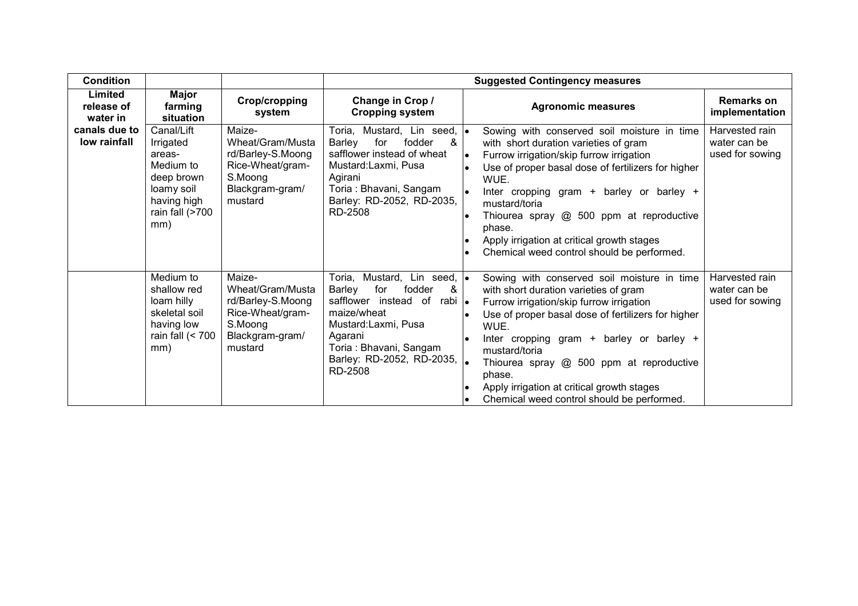| <b>Condition</b>                  |                                                                                                                     |                                                                                                              |                                                                                                                                                                                                                                       | <b>Suggested Contingency measures</b>                                                                                                                                                                                                                                                                                                                                                                                                                              |  |
|-----------------------------------|---------------------------------------------------------------------------------------------------------------------|--------------------------------------------------------------------------------------------------------------|---------------------------------------------------------------------------------------------------------------------------------------------------------------------------------------------------------------------------------------|--------------------------------------------------------------------------------------------------------------------------------------------------------------------------------------------------------------------------------------------------------------------------------------------------------------------------------------------------------------------------------------------------------------------------------------------------------------------|--|
| Limited<br>release of<br>water in | Major<br>farming<br>situation                                                                                       | Crop/cropping<br>system                                                                                      | Change in Crop /<br><b>Cropping system</b>                                                                                                                                                                                            | <b>Remarks on</b><br><b>Agronomic measures</b><br>implementation                                                                                                                                                                                                                                                                                                                                                                                                   |  |
| canals due to<br>low rainfall     | Canal/Lift<br>Irrigated<br>areas-<br>Medium to<br>deep brown<br>loamy soil<br>having high<br>rain fall (>700<br>mm) | Maize-<br>Wheat/Gram/Musta<br>rd/Barley-S.Moong<br>Rice-Wheat/gram-<br>S.Moong<br>Blackgram-gram/<br>mustard | Toria, Mustard, Lin seed, <b>.</b><br>fodder<br>Barley<br>for<br>&<br>safflower instead of wheat<br>Mustard:Laxmi, Pusa<br>Agirani<br>Toria: Bhavani, Sangam<br>Barley: RD-2052, RD-2035,<br>RD-2508                                  | Harvested rain<br>Sowing with conserved soil moisture in time<br>water can be<br>with short duration varieties of gram<br>used for sowing<br>Furrow irrigation/skip furrow irrigation<br>Use of proper basal dose of fertilizers for higher<br>WUE.<br>Inter cropping gram + barley or barley +<br>mustard/toria<br>Thiourea spray @ 500 ppm at reproductive<br>phase.<br>Apply irrigation at critical growth stages<br>Chemical weed control should be performed. |  |
|                                   | Medium to<br>shallow red<br>loam hilly<br>skeletal soil<br>having low<br>rain fall $(< 700$<br>mm)                  | Maize-<br>Wheat/Gram/Musta<br>rd/Barley-S.Moong<br>Rice-Wheat/gram-<br>S.Moong<br>Blackgram-gram/<br>mustard | Toria, Mustard, Lin seed, <b>.</b><br>Barley<br>fodder<br>for<br>&<br>safflower instead of<br>rabi   <sub>●</sub><br>maize/wheat<br>Mustard:Laxmi, Pusa<br>Agarani<br>Toria : Bhavani, Sangam<br>Barley: RD-2052, RD-2035,<br>RD-2508 | Harvested rain<br>Sowing with conserved soil moisture in time<br>with short duration varieties of gram<br>water can be<br>used for sowing<br>Furrow irrigation/skip furrow irrigation<br>Use of proper basal dose of fertilizers for higher<br>WUE.<br>Inter cropping gram + barley or barley +<br>mustard/toria<br>Thiourea spray @ 500 ppm at reproductive<br>phase.<br>Apply irrigation at critical growth stages<br>Chemical weed control should be performed. |  |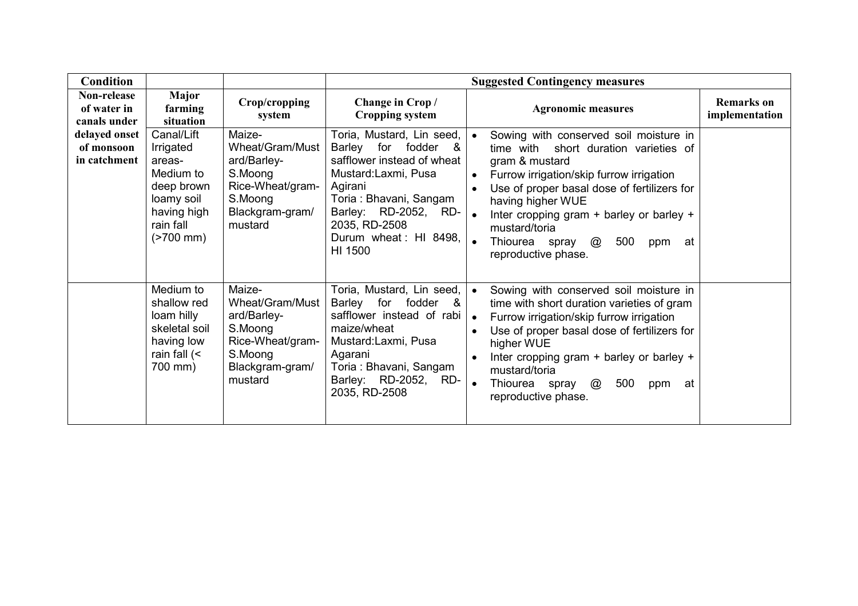| <b>Condition</b>                            |                                                                                                                                 |                                                                                                                  |                                                                                                                                                                                                                              | <b>Suggested Contingency measures</b>                                                                                                                                                                                                                                                                                                                                                                |                                     |
|---------------------------------------------|---------------------------------------------------------------------------------------------------------------------------------|------------------------------------------------------------------------------------------------------------------|------------------------------------------------------------------------------------------------------------------------------------------------------------------------------------------------------------------------------|------------------------------------------------------------------------------------------------------------------------------------------------------------------------------------------------------------------------------------------------------------------------------------------------------------------------------------------------------------------------------------------------------|-------------------------------------|
| Non-release<br>of water in<br>canals under  | Major<br>farming<br>situation                                                                                                   | Crop/cropping<br>system                                                                                          | Change in Crop/<br><b>Cropping system</b>                                                                                                                                                                                    | <b>Agronomic measures</b>                                                                                                                                                                                                                                                                                                                                                                            | <b>Remarks</b> on<br>implementation |
| delayed onset<br>of monsoon<br>in catchment | Canal/Lift<br>Irrigated<br>areas-<br>Medium to<br>deep brown<br>loamy soil<br>having high<br>rain fall<br>$(2700 \, \text{mm})$ | Maize-<br>Wheat/Gram/Must<br>ard/Barley-<br>S.Moong<br>Rice-Wheat/gram-<br>S.Moong<br>Blackgram-gram/<br>mustard | Toria, Mustard, Lin seed,<br>Barley for fodder<br>- &<br>safflower instead of wheat<br>Mustard:Laxmi, Pusa<br>Agirani<br>Toria: Bhavani, Sangam<br>Barley: RD-2052, RD-<br>2035, RD-2508<br>Durum wheat: HI 8498,<br>HI 1500 | Sowing with conserved soil moisture in<br>$\bullet$<br>time with short duration varieties of<br>gram & mustard<br>Furrow irrigation/skip furrow irrigation<br>$\bullet$<br>Use of proper basal dose of fertilizers for<br>having higher WUE<br>Inter cropping gram + barley or barley +<br>$\bullet$<br>mustard/toria<br>$\bullet$<br>500<br>Thiourea spray<br>@<br>at<br>ppm<br>reproductive phase. |                                     |
|                                             | Medium to<br>shallow red<br>loam hilly<br>skeletal soil<br>having low<br>rain fall $\left\langle \right\rangle$<br>700 mm)      | Maize-<br>Wheat/Gram/Must<br>ard/Barley-<br>S.Moong<br>Rice-Wheat/gram-<br>S.Moong<br>Blackgram-gram/<br>mustard | Toria, Mustard, Lin seed,<br>Barley for fodder &<br>safflower instead of rabi<br>maize/wheat<br>Mustard:Laxmi, Pusa<br>Agarani<br>Toria: Bhavani, Sangam<br>Barley: RD-2052,<br>RD-<br>2035, RD-2508                         | Sowing with conserved soil moisture in<br>$\bullet$<br>time with short duration varieties of gram<br>Furrow irrigation/skip furrow irrigation<br>$\bullet$<br>Use of proper basal dose of fertilizers for<br>higher WUE<br>Inter cropping gram + barley or barley +<br>mustard/toria<br>500<br>Thiourea spray<br>@<br>at<br>$\bullet$<br>ppm<br>reproductive phase.                                  |                                     |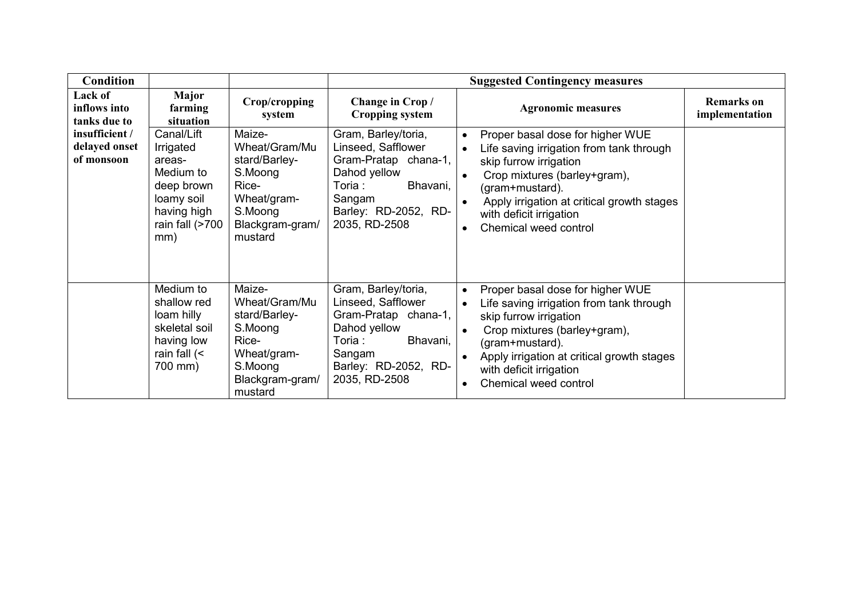| <b>Condition</b>                              |                                                                                                                     |                                                                                                                      |                                                                                                                                                            | <b>Suggested Contingency measures</b>                                                                                                                                                                                                                                                                                        |                                     |
|-----------------------------------------------|---------------------------------------------------------------------------------------------------------------------|----------------------------------------------------------------------------------------------------------------------|------------------------------------------------------------------------------------------------------------------------------------------------------------|------------------------------------------------------------------------------------------------------------------------------------------------------------------------------------------------------------------------------------------------------------------------------------------------------------------------------|-------------------------------------|
| Lack of<br>inflows into<br>tanks due to       | Major<br>farming<br>situation                                                                                       | Crop/cropping<br>system                                                                                              | Change in Crop/<br><b>Cropping system</b>                                                                                                                  | <b>Agronomic measures</b>                                                                                                                                                                                                                                                                                                    | <b>Remarks</b> on<br>implementation |
| insufficient /<br>delayed onset<br>of monsoon | Canal/Lift<br>Irrigated<br>areas-<br>Medium to<br>deep brown<br>loamy soil<br>having high<br>rain fall (>700<br>mm) | Maize-<br>Wheat/Gram/Mu<br>stard/Barley-<br>S.Moong<br>Rice-<br>Wheat/gram-<br>S.Moong<br>Blackgram-gram/<br>mustard | Gram, Barley/toria,<br>Linseed, Safflower<br>Gram-Pratap chana-1,<br>Dahod yellow<br>Bhavani,<br>Toria:<br>Sangam<br>Barley: RD-2052, RD-<br>2035, RD-2508 | Proper basal dose for higher WUE<br>$\bullet$<br>Life saving irrigation from tank through<br>$\bullet$<br>skip furrow irrigation<br>Crop mixtures (barley+gram),<br>$\bullet$<br>(gram+mustard).<br>Apply irrigation at critical growth stages<br>$\bullet$<br>with deficit irrigation<br>Chemical weed control<br>$\bullet$ |                                     |
|                                               | Medium to<br>shallow red<br>loam hilly<br>skeletal soil<br>having low<br>rain fall $($<br>700 mm)                   | Maize-<br>Wheat/Gram/Mu<br>stard/Barley-<br>S.Moong<br>Rice-<br>Wheat/gram-<br>S.Moong<br>Blackgram-gram/<br>mustard | Gram, Barley/toria,<br>Linseed, Safflower<br>Gram-Pratap chana-1,<br>Dahod yellow<br>Toria:<br>Bhavani,<br>Sangam<br>Barley: RD-2052, RD-<br>2035, RD-2508 | Proper basal dose for higher WUE<br>$\bullet$<br>Life saving irrigation from tank through<br>$\bullet$<br>skip furrow irrigation<br>Crop mixtures (barley+gram),<br>(gram+mustard).<br>Apply irrigation at critical growth stages<br>$\bullet$<br>with deficit irrigation<br>Chemical weed control<br>$\bullet$              |                                     |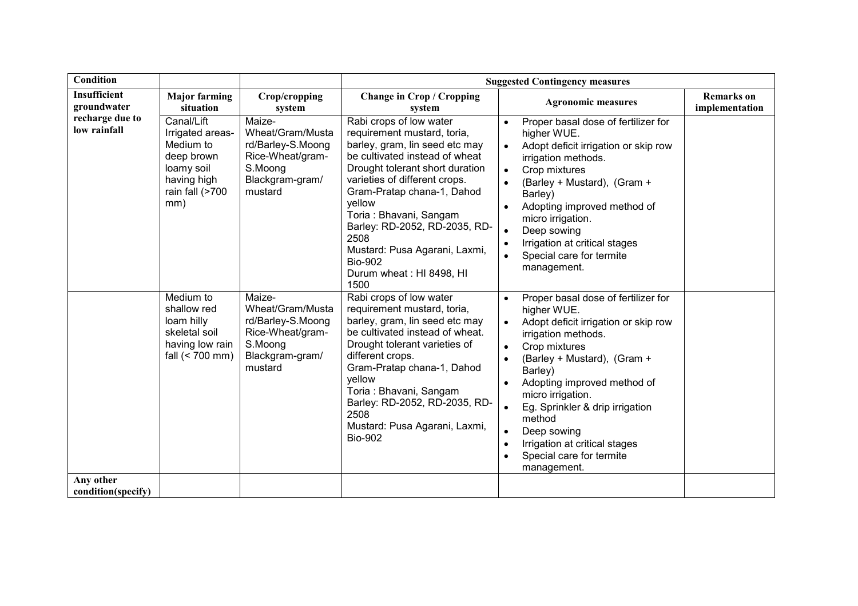| Condition                       |                                                                                                                  |                                                                                                              | <b>Suggested Contingency measures</b>                                                                                                                                                                                                                                                                                                                                                            |                                                                                                                                                                                                                                                                                                                                                                                                                                                                                               |                                     |  |  |
|---------------------------------|------------------------------------------------------------------------------------------------------------------|--------------------------------------------------------------------------------------------------------------|--------------------------------------------------------------------------------------------------------------------------------------------------------------------------------------------------------------------------------------------------------------------------------------------------------------------------------------------------------------------------------------------------|-----------------------------------------------------------------------------------------------------------------------------------------------------------------------------------------------------------------------------------------------------------------------------------------------------------------------------------------------------------------------------------------------------------------------------------------------------------------------------------------------|-------------------------------------|--|--|
| Insufficient<br>groundwater     | <b>Major farming</b><br>situation                                                                                | Crop/cropping<br>system                                                                                      | <b>Change in Crop / Cropping</b><br>system                                                                                                                                                                                                                                                                                                                                                       | <b>Agronomic measures</b>                                                                                                                                                                                                                                                                                                                                                                                                                                                                     | <b>Remarks</b> on<br>implementation |  |  |
| recharge due to<br>low rainfall | Canal/Lift<br>Irrigated areas-<br>Medium to<br>deep brown<br>loamy soil<br>having high<br>rain fall (>700<br>mm) | Maize-<br>Wheat/Gram/Musta<br>rd/Barley-S.Moong<br>Rice-Wheat/gram-<br>S.Moong<br>Blackgram-gram/<br>mustard | Rabi crops of low water<br>requirement mustard, toria,<br>barley, gram, lin seed etc may<br>be cultivated instead of wheat<br>Drought tolerant short duration<br>varieties of different crops.<br>Gram-Pratap chana-1, Dahod<br>yellow<br>Toria: Bhavani, Sangam<br>Barley: RD-2052, RD-2035, RD-<br>2508<br>Mustard: Pusa Agarani, Laxmi,<br><b>Bio-902</b><br>Durum wheat: HI 8498, HI<br>1500 | Proper basal dose of fertilizer for<br>higher WUE.<br>Adopt deficit irrigation or skip row<br>$\bullet$<br>irrigation methods.<br>Crop mixtures<br>$\bullet$<br>(Barley + Mustard), (Gram +<br>$\bullet$<br>Barley)<br>Adopting improved method of<br>$\bullet$<br>micro irrigation.<br>Deep sowing<br>$\bullet$<br>Irrigation at critical stages<br>$\bullet$<br>Special care for termite<br>$\bullet$<br>management.                                                                        |                                     |  |  |
| Any other                       | Medium to<br>shallow red<br>loam hilly<br>skeletal soil<br>having low rain<br>fall (< 700 mm)                    | Maize-<br>Wheat/Gram/Musta<br>rd/Barley-S.Moong<br>Rice-Wheat/gram-<br>S.Moong<br>Blackgram-gram/<br>mustard | Rabi crops of low water<br>requirement mustard, toria,<br>barley, gram, lin seed etc may<br>be cultivated instead of wheat.<br>Drought tolerant varieties of<br>different crops.<br>Gram-Pratap chana-1, Dahod<br>yellow<br>Toria: Bhavani, Sangam<br>Barley: RD-2052, RD-2035, RD-<br>2508<br>Mustard: Pusa Agarani, Laxmi,<br><b>Bio-902</b>                                                   | Proper basal dose of fertilizer for<br>$\bullet$<br>higher WUE.<br>Adopt deficit irrigation or skip row<br>$\bullet$<br>irrigation methods.<br>Crop mixtures<br>$\bullet$<br>(Barley + Mustard), (Gram +<br>$\bullet$<br>Barley)<br>Adopting improved method of<br>$\bullet$<br>micro irrigation.<br>Eg. Sprinkler & drip irrigation<br>$\bullet$<br>method<br>Deep sowing<br>$\bullet$<br>Irrigation at critical stages<br>$\bullet$<br>Special care for termite<br>$\bullet$<br>management. |                                     |  |  |
| condition(specify)              |                                                                                                                  |                                                                                                              |                                                                                                                                                                                                                                                                                                                                                                                                  |                                                                                                                                                                                                                                                                                                                                                                                                                                                                                               |                                     |  |  |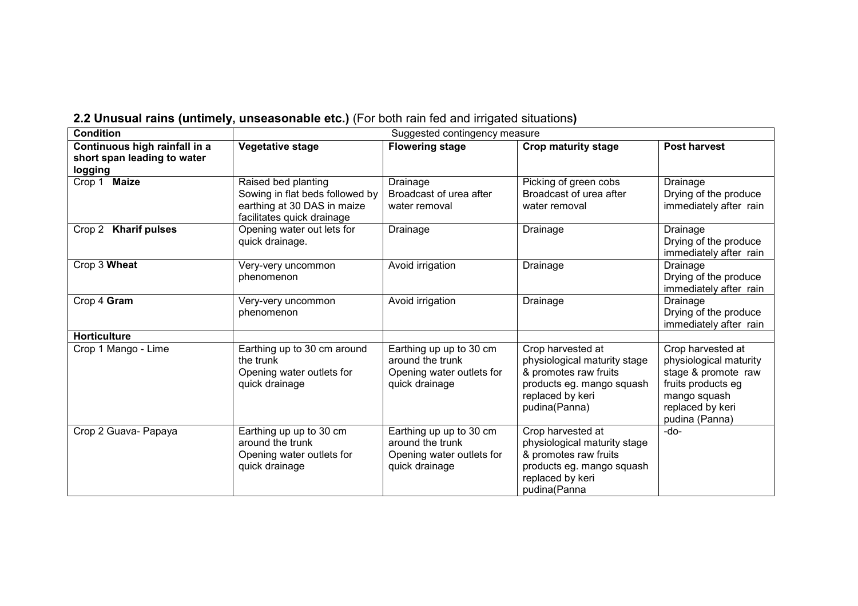| 2.2 Unusual rains (untimely, unseasonable etc.) (For both rain fed and irrigated situations) |  |  |  |  |  |  |  |
|----------------------------------------------------------------------------------------------|--|--|--|--|--|--|--|
|----------------------------------------------------------------------------------------------|--|--|--|--|--|--|--|

| <b>Condition</b>                       | Suggested contingency measure                                                                                       |                                                                                            |                                                                                                                                              |                                                                                                                                                |  |  |
|----------------------------------------|---------------------------------------------------------------------------------------------------------------------|--------------------------------------------------------------------------------------------|----------------------------------------------------------------------------------------------------------------------------------------------|------------------------------------------------------------------------------------------------------------------------------------------------|--|--|
| Continuous high rainfall in a          | <b>Vegetative stage</b>                                                                                             | <b>Flowering stage</b>                                                                     | <b>Crop maturity stage</b>                                                                                                                   | <b>Post harvest</b>                                                                                                                            |  |  |
| short span leading to water<br>logging |                                                                                                                     |                                                                                            |                                                                                                                                              |                                                                                                                                                |  |  |
| <b>Maize</b><br>Crop 1                 | Raised bed planting<br>Sowing in flat beds followed by<br>earthing at 30 DAS in maize<br>facilitates quick drainage | Drainage<br>Broadcast of urea after<br>water removal                                       | Picking of green cobs<br>Broadcast of urea after<br>water removal                                                                            | Drainage<br>Drying of the produce<br>immediately after rain                                                                                    |  |  |
| Crop 2<br><b>Kharif pulses</b>         | Opening water out lets for<br>quick drainage.                                                                       | Drainage                                                                                   | Drainage                                                                                                                                     | Drainage<br>Drying of the produce<br>immediately after rain                                                                                    |  |  |
| Crop 3 Wheat                           | Very-very uncommon<br>phenomenon                                                                                    | Avoid irrigation                                                                           | Drainage                                                                                                                                     | Drainage<br>Drying of the produce<br>immediately after rain                                                                                    |  |  |
| Crop 4 Gram                            | Very-very uncommon<br>phenomenon                                                                                    | Avoid irrigation                                                                           | Drainage                                                                                                                                     | Drainage<br>Drying of the produce<br>immediately after rain                                                                                    |  |  |
| <b>Horticulture</b>                    |                                                                                                                     |                                                                                            |                                                                                                                                              |                                                                                                                                                |  |  |
| Crop 1 Mango - Lime                    | Earthing up to 30 cm around<br>the trunk<br>Opening water outlets for<br>quick drainage                             | Earthing up up to 30 cm<br>around the trunk<br>Opening water outlets for<br>quick drainage | Crop harvested at<br>physiological maturity stage<br>& promotes raw fruits<br>products eg. mango squash<br>replaced by keri<br>pudina(Panna) | Crop harvested at<br>physiological maturity<br>stage & promote raw<br>fruits products eg<br>mango squash<br>replaced by keri<br>pudina (Panna) |  |  |
| Crop 2 Guava- Papaya                   | Earthing up up to 30 cm<br>around the trunk<br>Opening water outlets for<br>quick drainage                          | Earthing up up to 30 cm<br>around the trunk<br>Opening water outlets for<br>quick drainage | Crop harvested at<br>physiological maturity stage<br>& promotes raw fruits<br>products eg. mango squash<br>replaced by keri<br>pudina(Panna  | $-do-$                                                                                                                                         |  |  |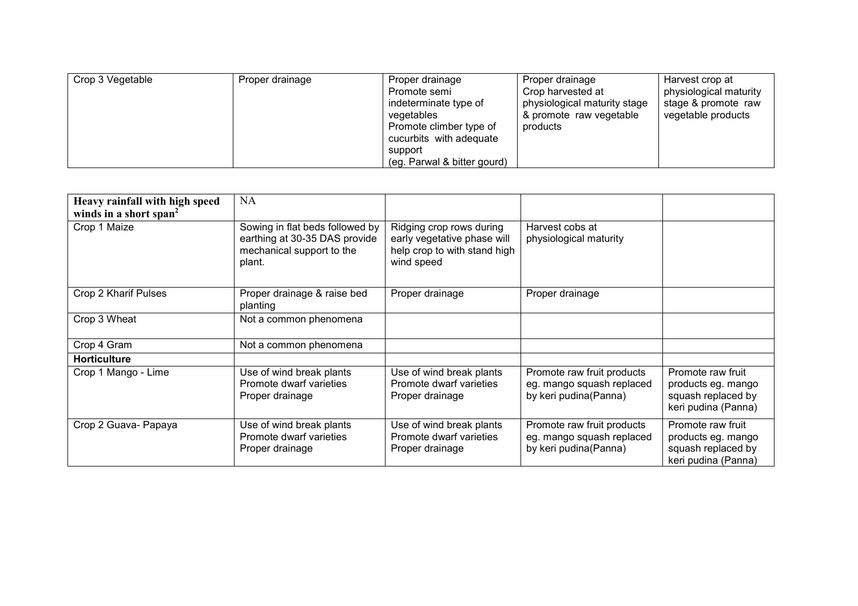| Crop 3 Vegetable | Proper drainage | Proper drainage             | Proper drainage              | Harvest crop at        |
|------------------|-----------------|-----------------------------|------------------------------|------------------------|
|                  |                 | Promote semi                | Crop harvested at            | physiological maturity |
|                  |                 | indeterminate type of       | physiological maturity stage | stage & promote raw    |
|                  |                 | vegetables                  | & promote raw vegetable      | vegetable products     |
|                  |                 | Promote climber type of     | products                     |                        |
|                  |                 | cucurbits with adequate     |                              |                        |
|                  |                 | support                     |                              |                        |
|                  |                 | (eg. Parwal & bitter gourd) |                              |                        |

| Heavy rainfall with high speed<br>winds in a short span <sup>2</sup> | <b>NA</b>                                                                                               |                                                                                                       |                                                                                  |                                                                                      |
|----------------------------------------------------------------------|---------------------------------------------------------------------------------------------------------|-------------------------------------------------------------------------------------------------------|----------------------------------------------------------------------------------|--------------------------------------------------------------------------------------|
| Crop 1 Maize                                                         | Sowing in flat beds followed by<br>earthing at 30-35 DAS provide<br>mechanical support to the<br>plant. | Ridging crop rows during<br>early vegetative phase will<br>help crop to with stand high<br>wind speed | Harvest cobs at<br>physiological maturity                                        |                                                                                      |
| Crop 2 Kharif Pulses                                                 | Proper drainage & raise bed<br>planting                                                                 | Proper drainage                                                                                       | Proper drainage                                                                  |                                                                                      |
| Crop 3 Wheat                                                         | Not a common phenomena                                                                                  |                                                                                                       |                                                                                  |                                                                                      |
| Crop 4 Gram                                                          | Not a common phenomena                                                                                  |                                                                                                       |                                                                                  |                                                                                      |
| <b>Horticulture</b>                                                  |                                                                                                         |                                                                                                       |                                                                                  |                                                                                      |
| Crop 1 Mango - Lime                                                  | Use of wind break plants<br>Promote dwarf varieties<br>Proper drainage                                  | Use of wind break plants<br>Promote dwarf varieties<br>Proper drainage                                | Promote raw fruit products<br>eg. mango squash replaced<br>by keri pudina(Panna) | Promote raw fruit<br>products eg. mango<br>squash replaced by<br>keri pudina (Panna) |
| Crop 2 Guava- Papaya                                                 | Use of wind break plants<br>Promote dwarf varieties<br>Proper drainage                                  | Use of wind break plants<br>Promote dwarf varieties<br>Proper drainage                                | Promote raw fruit products<br>eg. mango squash replaced<br>by keri pudina(Panna) | Promote raw fruit<br>products eg. mango<br>squash replaced by<br>keri pudina (Panna) |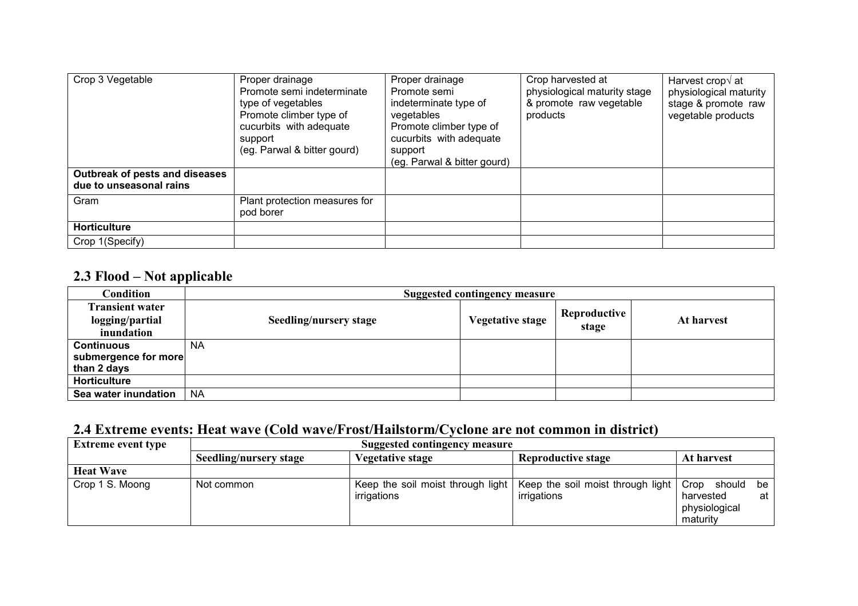| Crop 3 Vegetable<br>Outbreak of pests and diseases | Proper drainage<br>Promote semi indeterminate<br>type of vegetables<br>Promote climber type of<br>cucurbits with adequate<br>support<br>(eg. Parwal & bitter gourd) | Proper drainage<br>Promote semi<br>indeterminate type of<br>vegetables<br>Promote climber type of<br>cucurbits with adequate<br>support<br>(eg. Parwal & bitter gourd) | Crop harvested at<br>physiological maturity stage<br>& promote raw vegetable<br>products | Harvest crop $\sqrt{at}$<br>physiological maturity<br>stage & promote raw<br>vegetable products |
|----------------------------------------------------|---------------------------------------------------------------------------------------------------------------------------------------------------------------------|------------------------------------------------------------------------------------------------------------------------------------------------------------------------|------------------------------------------------------------------------------------------|-------------------------------------------------------------------------------------------------|
| due to unseasonal rains                            |                                                                                                                                                                     |                                                                                                                                                                        |                                                                                          |                                                                                                 |
| Gram                                               | Plant protection measures for<br>pod borer                                                                                                                          |                                                                                                                                                                        |                                                                                          |                                                                                                 |
| <b>Horticulture</b>                                |                                                                                                                                                                     |                                                                                                                                                                        |                                                                                          |                                                                                                 |
| Crop 1(Specify)                                    |                                                                                                                                                                     |                                                                                                                                                                        |                                                                                          |                                                                                                 |

# 2.3 Flood – Not applicable

| <b>Condition</b>       | <b>Suggested contingency measure</b> |                         |              |            |  |  |  |  |
|------------------------|--------------------------------------|-------------------------|--------------|------------|--|--|--|--|
| <b>Transient water</b> |                                      |                         | Reproductive |            |  |  |  |  |
| logging/partial        | Seedling/nursery stage               | <b>Vegetative stage</b> | stage        | At harvest |  |  |  |  |
| inundation             |                                      |                         |              |            |  |  |  |  |
| <b>Continuous</b>      | <b>NA</b>                            |                         |              |            |  |  |  |  |
| submergence for more   |                                      |                         |              |            |  |  |  |  |
| than 2 days            |                                      |                         |              |            |  |  |  |  |
| <b>Horticulture</b>    |                                      |                         |              |            |  |  |  |  |
| Sea water inundation   | <b>NA</b>                            |                         |              |            |  |  |  |  |

## 2.4 Extreme events: Heat wave (Cold wave/Frost/Hailstorm/Cyclone are not common in district)

| <b>Extreme event type</b> | Suggested contingency measure |                                                  |                                                  |                                                                   |
|---------------------------|-------------------------------|--------------------------------------------------|--------------------------------------------------|-------------------------------------------------------------------|
|                           | Seedling/nursery stage        | Vegetative stage                                 | <b>Reproductive stage</b>                        | At harvest                                                        |
| <b>Heat Wave</b>          |                               |                                                  |                                                  |                                                                   |
| Crop 1 S. Moong           | Not common                    | Keep the soil moist through light<br>irrigations | Keep the soil moist through light<br>irrigations | Crop should<br>be<br>harvested<br>at<br>physiological<br>maturity |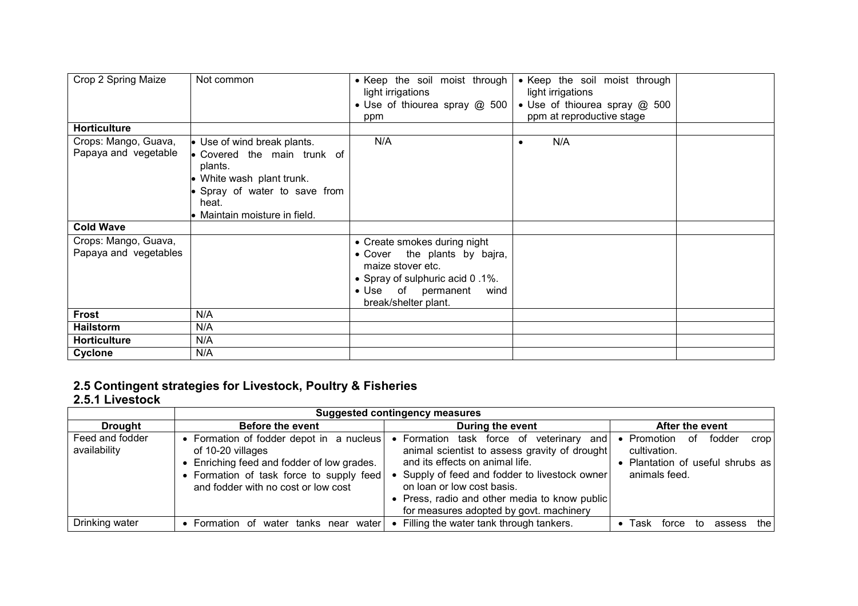| Crop 2 Spring Maize<br><b>Horticulture</b>    | Not common                                                                                                                                                                          | • Keep the soil moist through<br>light irrigations<br>• Use of thiourea spray @ 500<br>ppm                                                                                 | • Keep the soil moist through<br>light irrigations<br>• Use of thiourea spray @ 500<br>ppm at reproductive stage |  |
|-----------------------------------------------|-------------------------------------------------------------------------------------------------------------------------------------------------------------------------------------|----------------------------------------------------------------------------------------------------------------------------------------------------------------------------|------------------------------------------------------------------------------------------------------------------|--|
|                                               |                                                                                                                                                                                     | N/A                                                                                                                                                                        |                                                                                                                  |  |
| Crops: Mango, Guava,<br>Papaya and vegetable  | • Use of wind break plants.<br>$\bullet$ Covered the main trunk of<br>plants.<br>• White wash plant trunk.<br>Spray of water to save from<br>heat.<br>• Maintain moisture in field. |                                                                                                                                                                            | N/A<br>٠                                                                                                         |  |
| <b>Cold Wave</b>                              |                                                                                                                                                                                     |                                                                                                                                                                            |                                                                                                                  |  |
| Crops: Mango, Guava,<br>Papaya and vegetables |                                                                                                                                                                                     | • Create smokes during night<br>• Cover the plants by bajra,<br>maize stover etc.<br>• Spray of sulphuric acid 0.1%.<br>• Use of permanent<br>wind<br>break/shelter plant. |                                                                                                                  |  |
| <b>Frost</b>                                  | N/A                                                                                                                                                                                 |                                                                                                                                                                            |                                                                                                                  |  |
| <b>Hailstorm</b>                              | N/A                                                                                                                                                                                 |                                                                                                                                                                            |                                                                                                                  |  |
| <b>Horticulture</b>                           | N/A                                                                                                                                                                                 |                                                                                                                                                                            |                                                                                                                  |  |
| Cyclone                                       | N/A                                                                                                                                                                                 |                                                                                                                                                                            |                                                                                                                  |  |

# 2.5 Contingent strategies for Livestock, Poultry & Fisheries 2.5.1 Livestock

|                                 | <b>Suggested contingency measures</b>                                                                                                                                                          |                                                                                                                                                                                                                                                                                                             |                                                                                                        |  |
|---------------------------------|------------------------------------------------------------------------------------------------------------------------------------------------------------------------------------------------|-------------------------------------------------------------------------------------------------------------------------------------------------------------------------------------------------------------------------------------------------------------------------------------------------------------|--------------------------------------------------------------------------------------------------------|--|
| <b>Drought</b>                  | <b>Before the event</b>                                                                                                                                                                        | During the event                                                                                                                                                                                                                                                                                            | After the event                                                                                        |  |
| Feed and fodder<br>availability | • Formation of fodder depot in a nucleus<br>of 10-20 villages<br>• Enriching feed and fodder of low grades.<br>• Formation of task force to supply feed<br>and fodder with no cost or low cost | • Formation task force of<br>veterinary and<br>animal scientist to assess gravity of drought<br>and its effects on animal life.<br>• Supply of feed and fodder to livestock owner<br>on loan or low cost basis.<br>• Press, radio and other media to know public<br>for measures adopted by govt. machinery | fodder<br>• Promotion<br>0f<br>crop<br>cultivation.<br>Plantation of useful shrubs as<br>animals feed. |  |
| Drinking water                  | Formation of<br>water tanks<br>waterl<br>near                                                                                                                                                  | • Filling the water tank through tankers.                                                                                                                                                                                                                                                                   | thel<br>Task<br>assess<br>force<br>to                                                                  |  |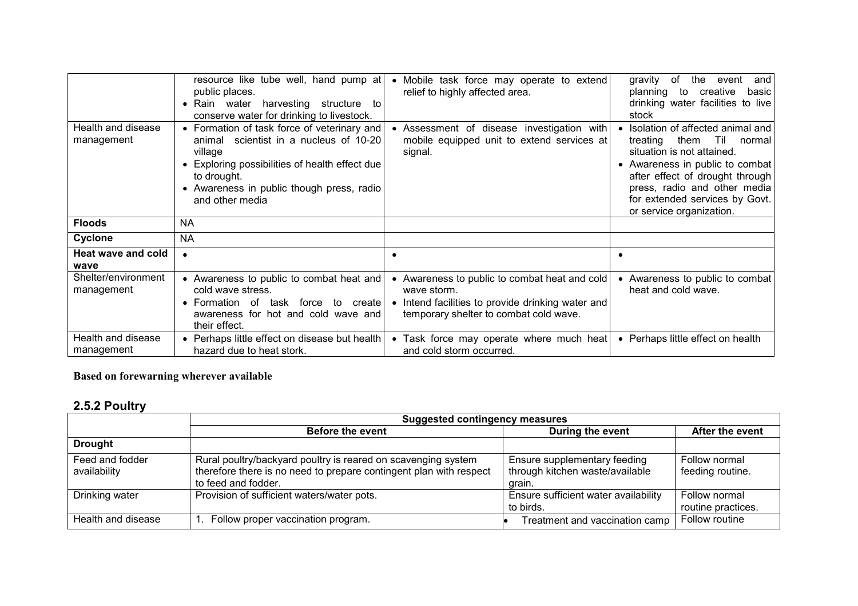| Health and disease<br>management  | resource like tube well, hand pump at<br>public places.<br>• Rain water<br>harvesting structure to<br>conserve water for drinking to livestock.<br>• Formation of task force of veterinary and<br>scientist in a nucleus of 10-20<br>animal<br>village<br>• Exploring possibilities of health effect due<br>to drought.<br>• Awareness in public though press, radio<br>and other media | Mobile task force may operate to extend<br>relief to highly affected area.<br>• Assessment of disease investigation with<br>mobile equipped unit to extend services at<br>signal. | the event<br>of.<br>and<br>gravity<br>planning to<br>creative<br>basic<br>drinking water facilities to live<br>stock<br>• Isolation of affected animal and<br>them Til normal<br>treating<br>situation is not attained.<br>• Awareness in public to combat<br>after effect of drought through<br>press, radio and other media<br>for extended services by Govt.<br>or service organization. |
|-----------------------------------|-----------------------------------------------------------------------------------------------------------------------------------------------------------------------------------------------------------------------------------------------------------------------------------------------------------------------------------------------------------------------------------------|-----------------------------------------------------------------------------------------------------------------------------------------------------------------------------------|---------------------------------------------------------------------------------------------------------------------------------------------------------------------------------------------------------------------------------------------------------------------------------------------------------------------------------------------------------------------------------------------|
| <b>Floods</b>                     | NA.                                                                                                                                                                                                                                                                                                                                                                                     |                                                                                                                                                                                   |                                                                                                                                                                                                                                                                                                                                                                                             |
| Cyclone                           | <b>NA</b>                                                                                                                                                                                                                                                                                                                                                                               |                                                                                                                                                                                   |                                                                                                                                                                                                                                                                                                                                                                                             |
| <b>Heat wave and cold</b><br>wave | $\bullet$                                                                                                                                                                                                                                                                                                                                                                               | $\bullet$                                                                                                                                                                         | $\bullet$                                                                                                                                                                                                                                                                                                                                                                                   |
| Shelter/environment<br>management | • Awareness to public to combat heat and<br>cold wave stress.<br>• Formation of task force to create<br>awareness for hot and cold wave and<br>their effect.                                                                                                                                                                                                                            | • Awareness to public to combat heat and cold<br>wave storm.<br>Intend facilities to provide drinking water and<br>temporary shelter to combat cold wave.                         | • Awareness to public to combat<br>heat and cold wave.                                                                                                                                                                                                                                                                                                                                      |
| Health and disease<br>management  | • Perhaps little effect on disease but health<br>hazard due to heat stork.                                                                                                                                                                                                                                                                                                              | • Task force may operate where much heat<br>and cold storm occurred.                                                                                                              | • Perhaps little effect on health                                                                                                                                                                                                                                                                                                                                                           |

#### Based on forewarning wherever available

## 2.5.2 Poultry

|                                 | <b>Suggested contingency measures</b>                                                                                                                      |                                                                           |                                     |
|---------------------------------|------------------------------------------------------------------------------------------------------------------------------------------------------------|---------------------------------------------------------------------------|-------------------------------------|
|                                 | <b>Before the event</b>                                                                                                                                    | During the event                                                          | After the event                     |
| <b>Drought</b>                  |                                                                                                                                                            |                                                                           |                                     |
| Feed and fodder<br>availability | Rural poultry/backyard poultry is reared on scavenging system<br>therefore there is no need to prepare contingent plan with respect<br>to feed and fodder. | Ensure supplementary feeding<br>through kitchen waste/available<br>grain. | Follow normal<br>feeding routine.   |
| Drinking water                  | Provision of sufficient waters/water pots.                                                                                                                 | Ensure sufficient water availability<br>to birds.                         | Follow normal<br>routine practices. |
| Health and disease              | 1. Follow proper vaccination program.                                                                                                                      | Treatment and vaccination camp                                            | Follow routine                      |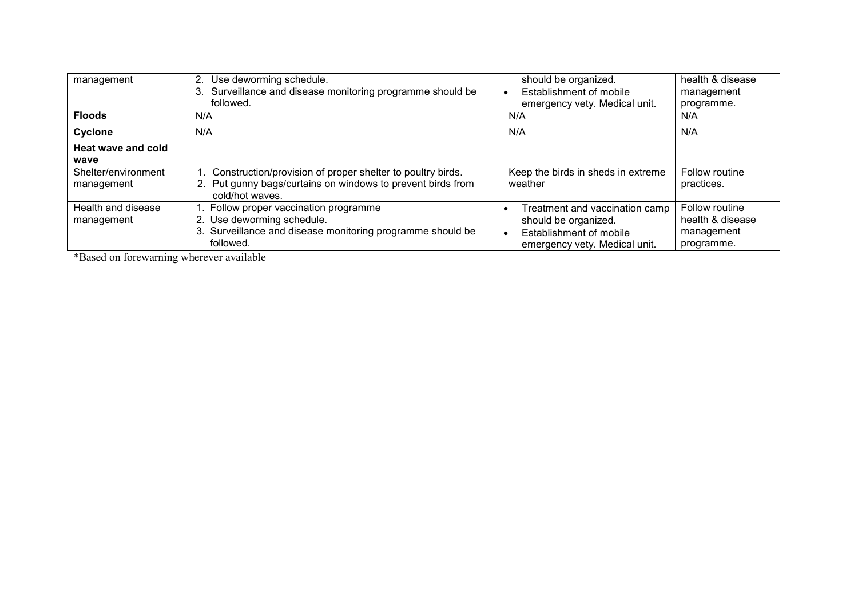| management                        | 2. Use deworming schedule.<br>3. Surveillance and disease monitoring programme should be<br>followed.                                           | should be organized.<br>Establishment of mobile<br>emergency vety. Medical unit.                                   | health & disease<br>management<br>programme.                   |
|-----------------------------------|-------------------------------------------------------------------------------------------------------------------------------------------------|--------------------------------------------------------------------------------------------------------------------|----------------------------------------------------------------|
| <b>Floods</b>                     | N/A                                                                                                                                             | N/A                                                                                                                | N/A                                                            |
| Cyclone                           | N/A                                                                                                                                             | N/A                                                                                                                | N/A                                                            |
| Heat wave and cold<br>wave        |                                                                                                                                                 |                                                                                                                    |                                                                |
| Shelter/environment<br>management | Construction/provision of proper shelter to poultry birds.<br>2. Put gunny bags/curtains on windows to prevent birds from<br>cold/hot waves.    | Keep the birds in sheds in extreme<br>weather                                                                      | Follow routine<br>practices.                                   |
| Health and disease<br>management  | 1. Follow proper vaccination programme<br>2. Use deworming schedule.<br>3. Surveillance and disease monitoring programme should be<br>followed. | Treatment and vaccination camp<br>should be organized.<br>Establishment of mobile<br>emergency vety. Medical unit. | Follow routine<br>health & disease<br>management<br>programme. |

\*Based on forewarning wherever available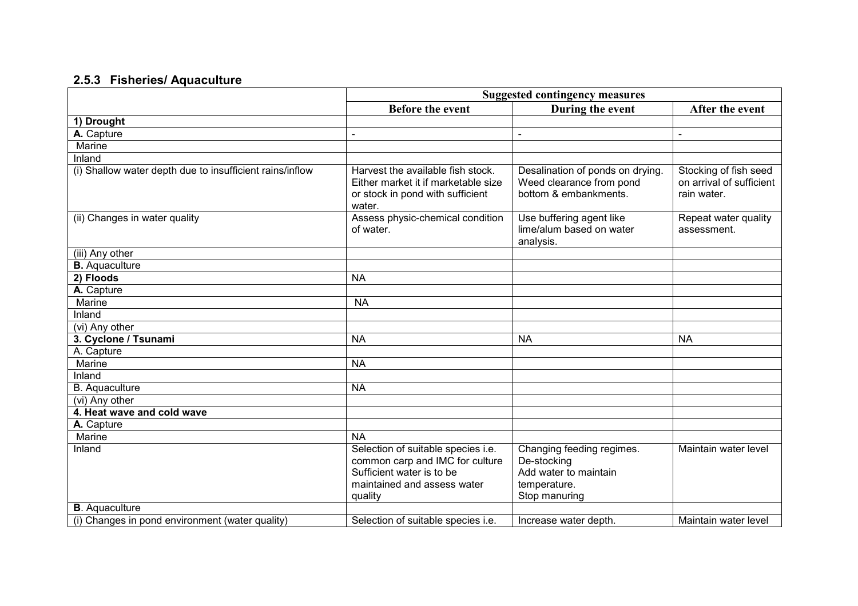#### 2.5.3 Fisheries/ Aquaculture

|                                                          | <b>Suggested contingency measures</b>                                                                                                        |                                                                                                    |                                                                  |
|----------------------------------------------------------|----------------------------------------------------------------------------------------------------------------------------------------------|----------------------------------------------------------------------------------------------------|------------------------------------------------------------------|
|                                                          | <b>Before the event</b>                                                                                                                      | During the event                                                                                   | After the event                                                  |
| 1) Drought                                               |                                                                                                                                              |                                                                                                    |                                                                  |
| A. Capture                                               |                                                                                                                                              |                                                                                                    | $\blacksquare$                                                   |
| Marine                                                   |                                                                                                                                              |                                                                                                    |                                                                  |
| Inland                                                   |                                                                                                                                              |                                                                                                    |                                                                  |
| (i) Shallow water depth due to insufficient rains/inflow | Harvest the available fish stock.<br>Either market it if marketable size<br>or stock in pond with sufficient<br>water.                       | Desalination of ponds on drying.<br>Weed clearance from pond<br>bottom & embankments.              | Stocking of fish seed<br>on arrival of sufficient<br>rain water. |
| (ii) Changes in water quality                            | Assess physic-chemical condition<br>of water.                                                                                                | Use buffering agent like<br>lime/alum based on water<br>analysis.                                  | Repeat water quality<br>assessment.                              |
| (iii) Any other                                          |                                                                                                                                              |                                                                                                    |                                                                  |
| <b>B.</b> Aquaculture                                    |                                                                                                                                              |                                                                                                    |                                                                  |
| 2) Floods                                                | <b>NA</b>                                                                                                                                    |                                                                                                    |                                                                  |
| A. Capture                                               |                                                                                                                                              |                                                                                                    |                                                                  |
| Marine                                                   | <b>NA</b>                                                                                                                                    |                                                                                                    |                                                                  |
| Inland                                                   |                                                                                                                                              |                                                                                                    |                                                                  |
| (vi) Any other                                           |                                                                                                                                              |                                                                                                    |                                                                  |
| 3. Cyclone / Tsunami                                     | <b>NA</b>                                                                                                                                    | <b>NA</b>                                                                                          | <b>NA</b>                                                        |
| A. Capture                                               |                                                                                                                                              |                                                                                                    |                                                                  |
| Marine                                                   | <b>NA</b>                                                                                                                                    |                                                                                                    |                                                                  |
| Inland                                                   |                                                                                                                                              |                                                                                                    |                                                                  |
| <b>B.</b> Aquaculture                                    | <b>NA</b>                                                                                                                                    |                                                                                                    |                                                                  |
| $\overline{(vi)$ Any other                               |                                                                                                                                              |                                                                                                    |                                                                  |
| 4. Heat wave and cold wave                               |                                                                                                                                              |                                                                                                    |                                                                  |
| A. Capture                                               |                                                                                                                                              |                                                                                                    |                                                                  |
| Marine                                                   | <b>NA</b>                                                                                                                                    |                                                                                                    |                                                                  |
| Inland                                                   | Selection of suitable species i.e.<br>common carp and IMC for culture<br>Sufficient water is to be<br>maintained and assess water<br>quality | Changing feeding regimes.<br>De-stocking<br>Add water to maintain<br>temperature.<br>Stop manuring | Maintain water level                                             |
| <b>B</b> . Aquaculture                                   |                                                                                                                                              |                                                                                                    |                                                                  |
| (i) Changes in pond environment (water quality)          | Selection of suitable species i.e.                                                                                                           | Increase water depth.                                                                              | Maintain water level                                             |